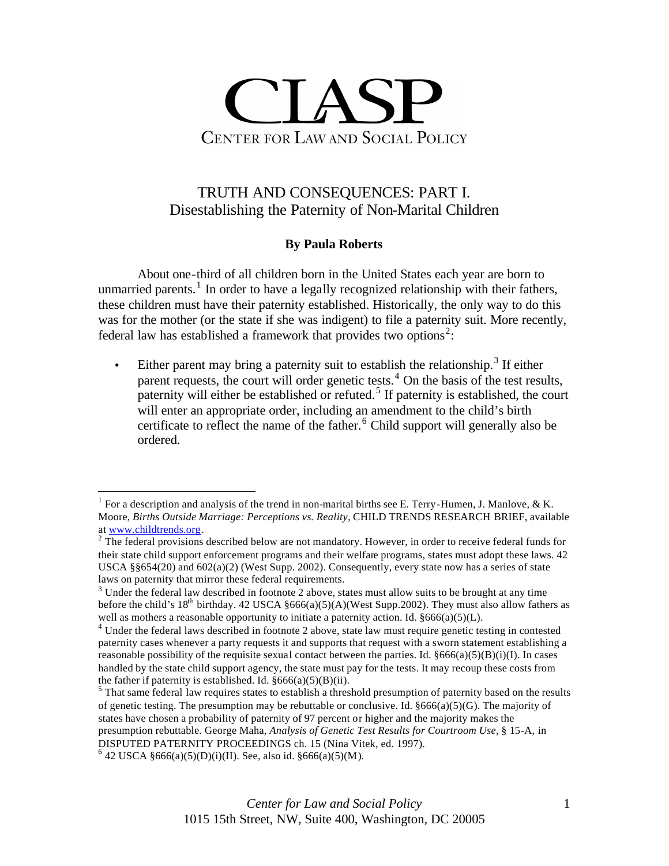

## TRUTH AND CONSEQUENCES: PART I. Disestablishing the Paternity of Non-Marital Children

## **By Paula Roberts**

About one-third of all children born in the United States each year are born to unmarried parents.<sup>1</sup> In order to have a legally recognized relationship with their fathers, these children must have their paternity established. Historically, the only way to do this was for the mother (or the state if she was indigent) to file a paternity suit. More recently, federal law has established a framework that provides two options<sup>2</sup>:

• Either parent may bring a paternity suit to establish the relationship.<sup>3</sup> If either parent requests, the court will order genetic tests.<sup>4</sup> On the basis of the test results, paternity will either be established or refuted.<sup>5</sup> If paternity is established, the court will enter an appropriate order, including an amendment to the child's birth certificate to reflect the name of the father.<sup>6</sup> Child support will generally also be ordered.

<sup>&</sup>lt;sup>1</sup> For a description and analysis of the trend in non-marital births see E. Terry-Humen, J. Manlove, & K. Moore, *Births Outside Marriage: Perceptions vs. Reality,* CHILD TRENDS RESEARCH BRIEF, available at www.childtrends.org.

 $2 \text{ The federal provisions described below are not mandatory. However, in order to receive federal funds for }$ their state child support enforcement programs and their welfare programs, states must adopt these laws. 42 USCA §§654(20) and 602(a)(2) (West Supp. 2002). Consequently, every state now has a series of state laws on paternity that mirror these federal requirements.

 $3$  Under the federal law described in footnote 2 above, states must allow suits to be brought at any time before the child's 18<sup>th</sup> birthday. 42 USCA §666(a)(5)(A)(West Supp.2002). They must also allow fathers as well as mothers a reasonable opportunity to initiate a paternity action. Id.  $\S666(a)(5)(L)$ .

<sup>&</sup>lt;sup>4</sup> Under the federal laws described in footnote 2 above, state law must require genetic testing in contested paternity cases whenever a party requests it and supports that request with a sworn statement establishing a reasonable possibility of the requisite sexual contact between the parties. Id.  $\S666(a)(5)(B)(i)(I)$ . In cases handled by the state child support agency, the state must pay for the tests. It may recoup these costs from the father if paternity is established. Id.  $§666(a)(5)(B)(ii)$ .

<sup>&</sup>lt;sup>5</sup> That same federal law requires states to establish a threshold presumption of paternity based on the results of genetic testing. The presumption may be rebuttable or conclusive. Id.  $\S666(a)(5)(G)$ . The majority of states have chosen a probability of paternity of 97 percent or higher and the majority makes the presumption rebuttable. George Maha, *Analysis of Genetic Test Results for Courtroom Use,* § 15-A, in DISPUTED PATERNITY PROCEEDINGS ch. 15 (Nina Vitek, ed. 1997).

 $642$  USCA  $§666(a)(5)(D)(i)(II)$ . See, also id.  $§666(a)(5)(M)$ .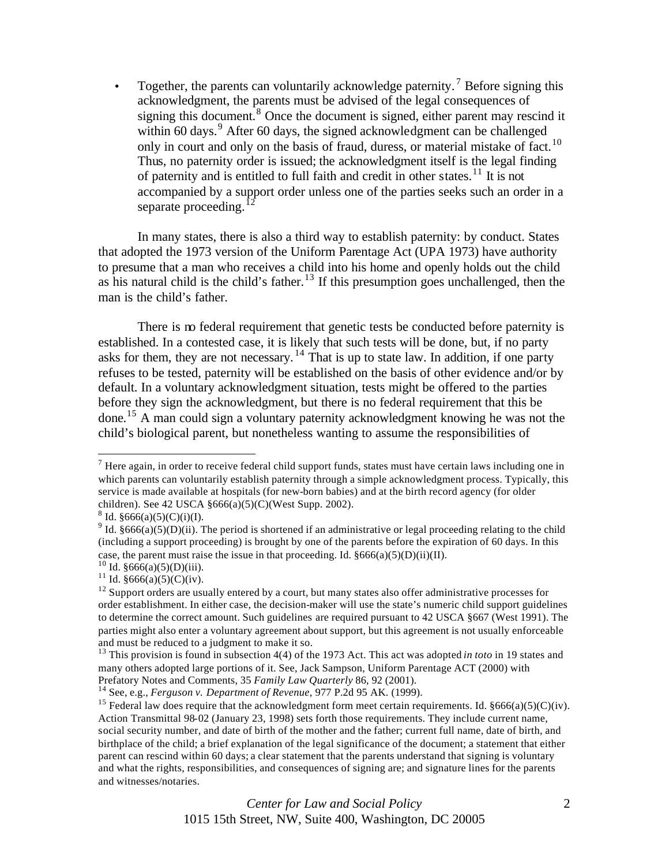• Together, the parents can voluntarily acknowledge paternity.<sup>7</sup> Before signing this acknowledgment, the parents must be advised of the legal consequences of signing this document.<sup>8</sup> Once the document is signed, either parent may rescind it within 60 days.<sup>9</sup> After 60 days, the signed acknowledgment can be challenged only in court and only on the basis of fraud, duress, or material mistake of fact.<sup>10</sup> Thus, no paternity order is issued; the acknowledgment itself is the legal finding of paternity and is entitled to full faith and credit in other states.<sup>11</sup> It is not accompanied by a support order unless one of the parties seeks such an order in a separate proceeding.

In many states, there is also a third way to establish paternity: by conduct. States that adopted the 1973 version of the Uniform Parentage Act (UPA 1973) have authority to presume that a man who receives a child into his home and openly holds out the child as his natural child is the child's father.<sup>13</sup> If this presumption goes unchallenged, then the man is the child's father.

There is no federal requirement that genetic tests be conducted before paternity is established. In a contested case, it is likely that such tests will be done, but, if no party asks for them, they are not necessary.  $14$  That is up to state law. In addition, if one party refuses to be tested, paternity will be established on the basis of other evidence and/or by default. In a voluntary acknowledgment situation, tests might be offered to the parties before they sign the acknowledgment, but there is no federal requirement that this be done.<sup>15</sup> A man could sign a voluntary paternity acknowledgment knowing he was not the child's biological parent, but nonetheless wanting to assume the responsibilities of

 $<sup>7</sup>$  Here again, in order to receive federal child support funds, states must have certain laws including one in</sup> which parents can voluntarily establish paternity through a simple acknowledgment process. Typically, this service is made available at hospitals (for new-born babies) and at the birth record agency (for older children). See 42 USCA §666(a)(5)(C)(West Supp. 2002).

 $8$  Id.  $§666(a)(5)(C)(i)(I)$ .

<sup>&</sup>lt;sup>9</sup> Id.  $§666(a)(5)(D)(ii)$ . The period is shortened if an administrative or legal proceeding relating to the child (including a support proceeding) is brought by one of the parents before the expiration of 60 days. In this case, the parent must raise the issue in that proceeding. Id.  $§666(a)(5)(D)(ii)(II)$ .

 $10$  Id.  $\frac{$666(a)(5)(D)(iii)}{30}$ .

<sup>&</sup>lt;sup>11</sup> Id. §666(a)(5)(C)(iv).

 $12$  Support orders are usually entered by a court, but many states also offer administrative processes for order establishment. In either case, the decision-maker will use the state's numeric child support guidelines to determine the correct amount. Such guidelines are required pursuant to 42 USCA §667 (West 1991). The parties might also enter a voluntary agreement about support, but this agreement is not usually enforceable and must be reduced to a judgment to make it so.

<sup>&</sup>lt;sup>13</sup> This provision is found in subsection 4(4) of the 1973 Act. This act was adopted *in toto* in 19 states and many others adopted large portions of it. See, Jack Sampson, Uniform Parentage ACT (2000) with Prefatory Notes and Comments, 35 *Family Law Quarterly* 86, 92 (2001).

<sup>14</sup> See, e.g., *Ferguson v. Department of Revenue*, 977 P.2d 95 AK. (1999).

<sup>&</sup>lt;sup>15</sup> Federal law does require that the acknowledgment form meet certain requirements. Id.  $§666(a)(5)(C)(iv)$ . Action Transmittal 98-02 (January 23, 1998) sets forth those requirements. They include current name, social security number, and date of birth of the mother and the father; current full name, date of birth, and birthplace of the child; a brief explanation of the legal significance of the document; a statement that either parent can rescind within 60 days; a clear statement that the parents understand that signing is voluntary and what the rights, responsibilities, and consequences of signing are; and signature lines for the parents and witnesses/notaries.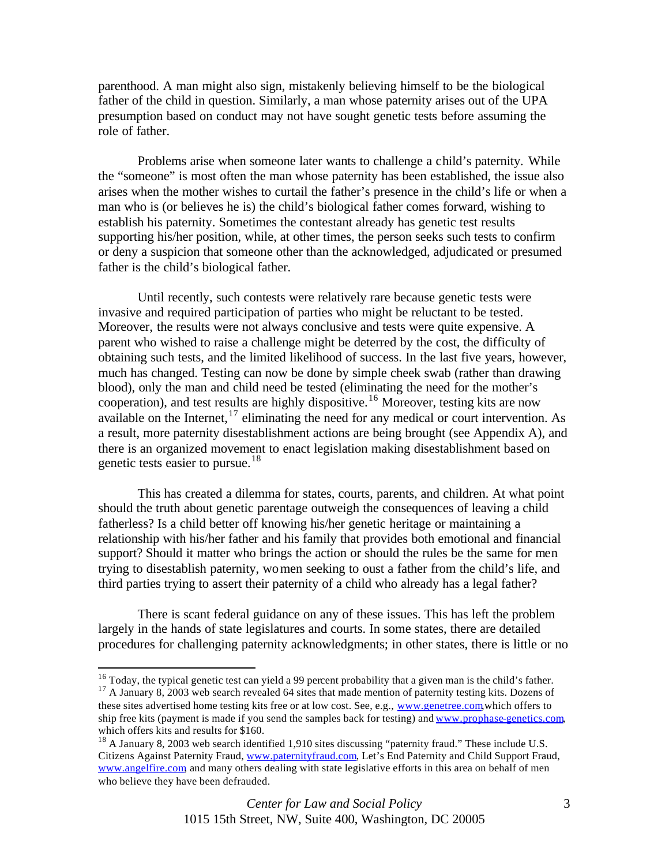parenthood. A man might also sign, mistakenly believing himself to be the biological father of the child in question. Similarly, a man whose paternity arises out of the UPA presumption based on conduct may not have sought genetic tests before assuming the role of father.

Problems arise when someone later wants to challenge a child's paternity. While the "someone" is most often the man whose paternity has been established, the issue also arises when the mother wishes to curtail the father's presence in the child's life or when a man who is (or believes he is) the child's biological father comes forward, wishing to establish his paternity. Sometimes the contestant already has genetic test results supporting his/her position, while, at other times, the person seeks such tests to confirm or deny a suspicion that someone other than the acknowledged, adjudicated or presumed father is the child's biological father.

Until recently, such contests were relatively rare because genetic tests were invasive and required participation of parties who might be reluctant to be tested. Moreover, the results were not always conclusive and tests were quite expensive. A parent who wished to raise a challenge might be deterred by the cost, the difficulty of obtaining such tests, and the limited likelihood of success. In the last five years, however, much has changed. Testing can now be done by simple cheek swab (rather than drawing blood), only the man and child need be tested (eliminating the need for the mother's cooperation), and test results are highly dispositive.<sup>16</sup> Moreover, testing kits are now available on the Internet,  $17$  eliminating the need for any medical or court intervention. As a result, more paternity disestablishment actions are being brought (see Appendix A), and there is an organized movement to enact legislation making disestablishment based on genetic tests easier to pursue.<sup>18</sup>

This has created a dilemma for states, courts, parents, and children. At what point should the truth about genetic parentage outweigh the consequences of leaving a child fatherless? Is a child better off knowing his/her genetic heritage or maintaining a relationship with his/her father and his family that provides both emotional and financial support? Should it matter who brings the action or should the rules be the same for men trying to disestablish paternity, women seeking to oust a father from the child's life, and third parties trying to assert their paternity of a child who already has a legal father?

There is scant federal guidance on any of these issues. This has left the problem largely in the hands of state legislatures and courts. In some states, there are detailed procedures for challenging paternity acknowledgments; in other states, there is little or no

<sup>&</sup>lt;sup>16</sup> Today, the typical genetic test can yield a 99 percent probability that a given man is the child's father.

<sup>&</sup>lt;sup>17</sup> A January 8, 2003 web search revealed 64 sites that made mention of paternity testing kits. Dozens of these sites advertised home testing kits free or at low cost. See, e.g., www.genetree.com,which offers to ship free kits (payment is made if you send the samples back for testing) and www.prophase-genetics.com, which offers kits and results for \$160.

<sup>&</sup>lt;sup>18</sup> A January 8, 2003 web search identified 1,910 sites discussing "paternity fraud." These include U.S. Citizens Against Paternity Fraud, www.paternityfraud.com, Let's End Paternity and Child Support Fraud, www.angelfire.com, and many others dealing with state legislative efforts in this area on behalf of men who believe they have been defrauded.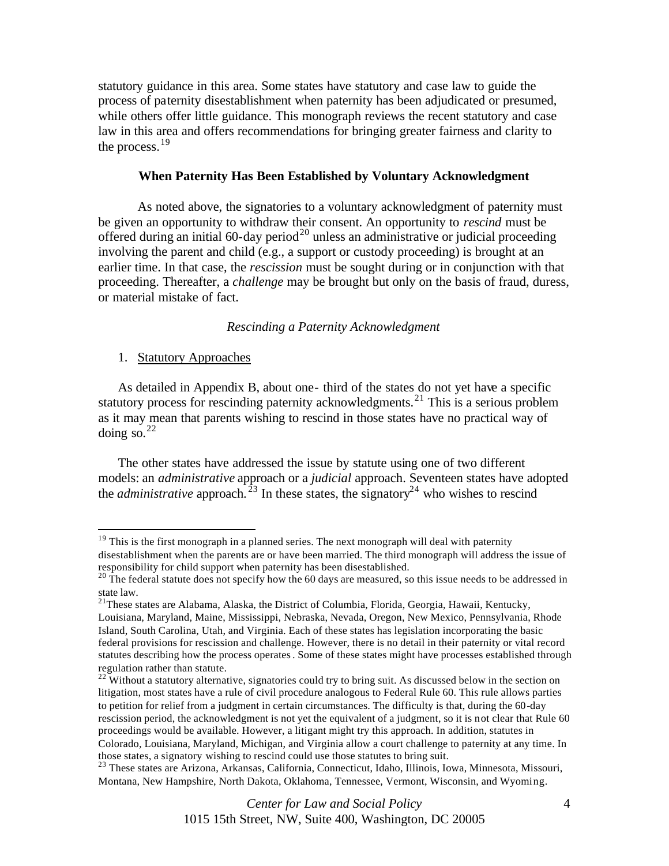statutory guidance in this area. Some states have statutory and case law to guide the process of paternity disestablishment when paternity has been adjudicated or presumed, while others offer little guidance. This monograph reviews the recent statutory and case law in this area and offers recommendations for bringing greater fairness and clarity to the process.  $19$ 

#### **When Paternity Has Been Established by Voluntary Acknowledgment**

As noted above, the signatories to a voluntary acknowledgment of paternity must be given an opportunity to withdraw their consent. An opportunity to *rescind* must be offered during an initial 60-day period<sup>20</sup> unless an administrative or judicial proceeding involving the parent and child (e.g., a support or custody proceeding) is brought at an earlier time. In that case, the *rescission* must be sought during or in conjunction with that proceeding. Thereafter, a *challenge* may be brought but only on the basis of fraud, duress, or material mistake of fact.

## *Rescinding a Paternity Acknowledgment*

## 1. Statutory Approaches

 $\overline{a}$ 

As detailed in Appendix B, about one- third of the states do not yet have a specific statutory process for rescinding paternity acknowledgments.<sup>21</sup> This is a serious problem as it may mean that parents wishing to rescind in those states have no practical way of doing so. $^{22}$ 

The other states have addressed the issue by statute using one of two different models: an *administrative* approach or a *judicial* approach. Seventeen states have adopted the *administrative* approach.<sup>23</sup> In these states, the signatory<sup>24</sup> who wishes to rescind

 $19$  This is the first monograph in a planned series. The next monograph will deal with paternity disestablishment when the parents are or have been married. The third monograph will address the issue of responsibility for child support when paternity has been disestablished.

<sup>&</sup>lt;sup>20</sup> The federal statute does not specify how the 60 days are measured, so this issue needs to be addressed in state law.

<sup>&</sup>lt;sup>21</sup>These states are Alabama, Alaska, the District of Columbia, Florida, Georgia, Hawaii, Kentucky, Louisiana, Maryland, Maine, Mississippi, Nebraska, Nevada, Oregon, New Mexico, Pennsylvania, Rhode Island, South Carolina, Utah, and Virginia. Each of these states has legislation incorporating the basic federal provisions for rescission and challenge. However, there is no detail in their paternity or vital record statutes describing how the process operates. Some of these states might have processes established through regulation rather than statute.

 $22$ <sup>22</sup> Without a statutory alternative, signatories could try to bring suit. As discussed below in the section on litigation, most states have a rule of civil procedure analogous to Federal Rule 60. This rule allows parties to petition for relief from a judgment in certain circumstances. The difficulty is that, during the 60-day rescission period, the acknowledgment is not yet the equivalent of a judgment, so it is not clear that Rule 60 proceedings would be available. However, a litigant might try this approach. In addition, statutes in Colorado, Louisiana, Maryland, Michigan, and Virginia allow a court challenge to paternity at any time. In those states, a signatory wishing to rescind could use those statutes to bring suit.

<sup>&</sup>lt;sup>23</sup> These states are Arizona, Arkansas, California, Connecticut, Idaho, Illinois, Iowa, Minnesota, Missouri, Montana, New Hampshire, North Dakota, Oklahoma, Tennessee, Vermont, Wisconsin, and Wyoming.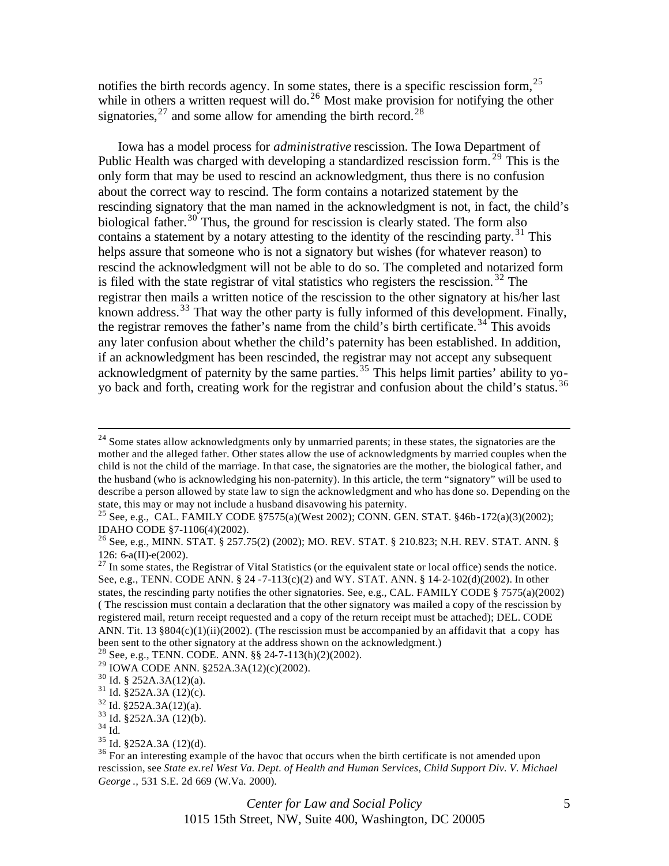notifies the birth records agency. In some states, there is a specific rescission form,  $25$ while in others a written request will do.<sup>26</sup> Most make provision for notifying the other signatories,  $27$  and some allow for amending the birth record.<sup>28</sup>

Iowa has a model process for *administrative* rescission. The Iowa Department of Public Health was charged with developing a standardized rescission form.<sup>29</sup> This is the only form that may be used to rescind an acknowledgment, thus there is no confusion about the correct way to rescind. The form contains a notarized statement by the rescinding signatory that the man named in the acknowledgment is not, in fact, the child's biological father.<sup>30</sup> Thus, the ground for rescission is clearly stated. The form also contains a statement by a notary attesting to the identity of the rescinding party.<sup>31</sup> This helps assure that someone who is not a signatory but wishes (for whatever reason) to rescind the acknowledgment will not be able to do so. The completed and notarized form is filed with the state registrar of vital statistics who registers the rescission.<sup>32</sup> The registrar then mails a written notice of the rescission to the other signatory at his/her last known address.<sup>33</sup> That way the other party is fully informed of this development. Finally, the registrar removes the father's name from the child's birth certificate.<sup>34</sup> This avoids any later confusion about whether the child's paternity has been established. In addition, if an acknowledgment has been rescinded, the registrar may not accept any subsequent acknowledgment of paternity by the same parties.<sup>35</sup> This helps limit parties' ability to yoyo back and forth, creating work for the registrar and confusion about the child's status.<sup>36</sup>

<sup>&</sup>lt;sup>24</sup> Some states allow acknowledgments only by unmarried parents; in these states, the signatories are the mother and the alleged father. Other states allow the use of acknowledgments by married couples when the child is not the child of the marriage. In that case, the signatories are the mother, the biological father, and the husband (who is acknowledging his non-paternity). In this article, the term "signatory" will be used to describe a person allowed by state law to sign the acknowledgment and who has done so. Depending on the state, this may or may not include a husband disavowing his paternity.

<sup>25</sup> See, e.g., CAL. FAMILY CODE §7575(a)(West 2002); CONN. GEN. STAT. §46b-172(a)(3)(2002); IDAHO CODE §7-1106(4)(2002).

 $^{26}$  See, e.g., MINN. STAT.  $\S 257.75(2)$  (2002); MO. REV. STAT.  $\S 210.823$ ; N.H. REV. STAT. ANN.  $\S$ 126: 6-a(II)-e(2002).

 $^{27}$  In some states, the Registrar of Vital Statistics (or the equivalent state or local office) sends the notice. See, e.g., TENN. CODE ANN. § 24 -7-113(c)(2) and WY. STAT. ANN. § 14-2-102(d)(2002). In other states, the rescinding party notifies the other signatories. See, e.g., CAL. FAMILY CODE § 7575(a)(2002) ( The rescission must contain a declaration that the other signatory was mailed a copy of the rescission by registered mail, return receipt requested and a copy of the return receipt must be attached); DEL. CODE ANN. Tit. 13  $\S 804(c)(1)(ii)(2002)$ . (The rescission must be accompanied by an affidavit that a copy has been sent to the other signatory at the address shown on the acknowledgment.)

<sup>28</sup> See, e.g., TENN. CODE. ANN. §§ 24-7-113(h)(2)(2002).

<sup>29</sup> IOWA CODE ANN. §252A.3A(12)(c)(2002).

 $30$  Id. § 252A.3A $(12)(a)$ .

 $31$  Id. §252A.3A (12)(c).

<sup>32</sup> Id. §252A.3A(12)(a).

 $33$  Id.  $\S$ 252A.3A (12)(b).

 $34$  Id.

 $35$  Id. §252A.3A (12)(d).

<sup>&</sup>lt;sup>36</sup> For an interesting example of the havoc that occurs when the birth certificate is not amended upon rescission, see *State ex.rel West Va. Dept. of Health and Human Services, Child Support Div. V. Michael George .,* 531 S.E. 2d 669 (W.Va. 2000).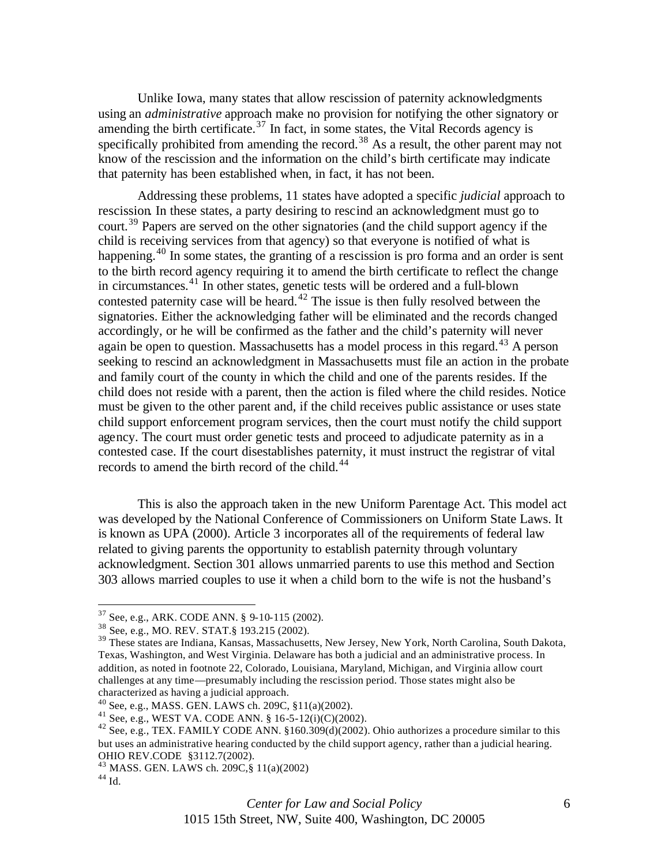Unlike Iowa, many states that allow rescission of paternity acknowledgments using an *administrative* approach make no provision for notifying the other signatory or amending the birth certificate.<sup>37</sup> In fact, in some states, the Vital Records agency is specifically prohibited from amending the record.<sup>38</sup> As a result, the other parent may not know of the rescission and the information on the child's birth certificate may indicate that paternity has been established when, in fact, it has not been.

Addressing these problems, 11 states have adopted a specific *judicial* approach to rescission*.* In these states, a party desiring to rescind an acknowledgment must go to court.<sup>39</sup> Papers are served on the other signatories (and the child support agency if the child is receiving services from that agency) so that everyone is notified of what is happening.<sup>40</sup> In some states, the granting of a rescission is pro forma and an order is sent to the birth record agency requiring it to amend the birth certificate to reflect the change in circumstances.<sup>41</sup> In other states, genetic tests will be ordered and a full-blown contested paternity case will be heard. $42$  The issue is then fully resolved between the signatories. Either the acknowledging father will be eliminated and the records changed accordingly, or he will be confirmed as the father and the child's paternity will never again be open to question. Massachusetts has a model process in this regard.<sup>43</sup> A person seeking to rescind an acknowledgment in Massachusetts must file an action in the probate and family court of the county in which the child and one of the parents resides. If the child does not reside with a parent, then the action is filed where the child resides. Notice must be given to the other parent and, if the child receives public assistance or uses state child support enforcement program services, then the court must notify the child support agency. The court must order genetic tests and proceed to adjudicate paternity as in a contested case. If the court disestablishes paternity, it must instruct the registrar of vital records to amend the birth record of the child.<sup>44</sup>

This is also the approach taken in the new Uniform Parentage Act. This model act was developed by the National Conference of Commissioners on Uniform State Laws. It is known as UPA (2000). Article 3 incorporates all of the requirements of federal law related to giving parents the opportunity to establish paternity through voluntary acknowledgment. Section 301 allows unmarried parents to use this method and Section 303 allows married couples to use it when a child born to the wife is not the husband's

<sup>37</sup> See, e.g., ARK. CODE ANN. § 9-10-115 (2002).

<sup>38</sup> See, e.g., MO. REV. STAT.§ 193.215 (2002).

<sup>&</sup>lt;sup>39</sup> These states are Indiana, Kansas, Massachusetts, New Jersey, New York, North Carolina, South Dakota, Texas, Washington, and West Virginia. Delaware has both a judicial and an administrative process. In addition, as noted in footnote 22, Colorado, Louisiana, Maryland, Michigan, and Virginia allow court challenges at any time—presumably including the rescission period. Those states might also be characterized as having a judicial approach.

<sup>40</sup> See, e.g., MASS. GEN. LAWS ch. 209C, §11(a)(2002).

<sup>41</sup> See, e.g., WEST VA. CODE ANN.  $\S 16-5-12(i)(C)(2002)$ .

<sup>42</sup> See, e.g., TEX. FAMILY CODE ANN. §160.309(d)(2002). Ohio authorizes a procedure similar to this but uses an administrative hearing conducted by the child support agency, rather than a judicial hearing. OHIO REV.CODE §3112.7(2002).

<sup>43</sup> MASS. GEN. LAWS ch. 209C,§ 11(a)(2002)

<sup>44</sup> Id.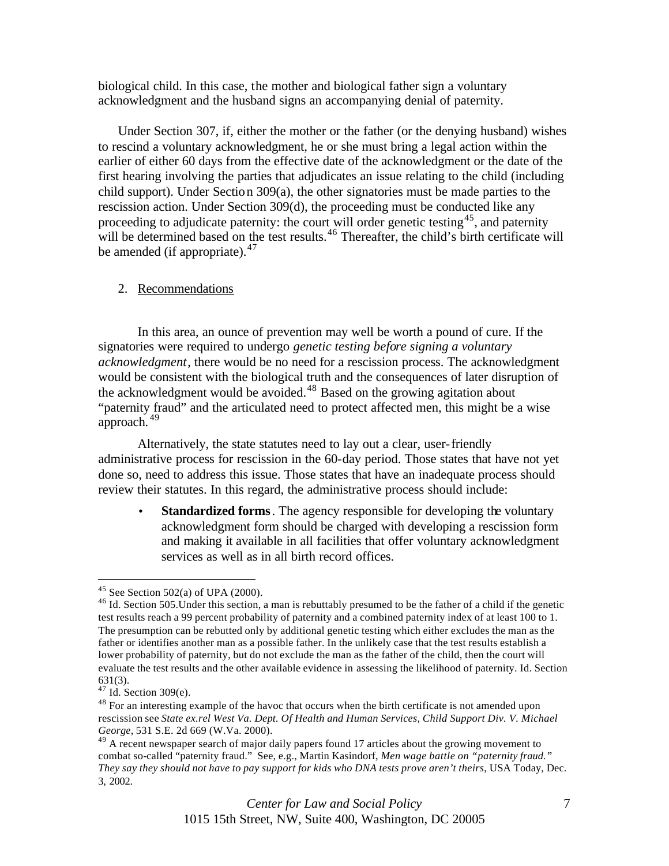biological child. In this case, the mother and biological father sign a voluntary acknowledgment and the husband signs an accompanying denial of paternity.

Under Section 307, if, either the mother or the father (or the denying husband) wishes to rescind a voluntary acknowledgment, he or she must bring a legal action within the earlier of either 60 days from the effective date of the acknowledgment or the date of the first hearing involving the parties that adjudicates an issue relating to the child (including child support). Under Section 309(a), the other signatories must be made parties to the rescission action. Under Section 309(d), the proceeding must be conducted like any proceeding to adjudicate paternity: the court will order genetic testing<sup>45</sup>, and paternity will be determined based on the test results.<sup>46</sup> Thereafter, the child's birth certificate will be amended (if appropriate).  $47$ 

## 2. Recommendations

In this area, an ounce of prevention may well be worth a pound of cure. If the signatories were required to undergo *genetic testing before signing a voluntary acknowledgment*, there would be no need for a rescission process. The acknowledgment would be consistent with the biological truth and the consequences of later disruption of the acknowledgment would be avoided.<sup>48</sup> Based on the growing agitation about "paternity fraud" and the articulated need to protect affected men, this might be a wise approach. <sup>49</sup>

Alternatively, the state statutes need to lay out a clear, user-friendly administrative process for rescission in the 60-day period. Those states that have not yet done so, need to address this issue. Those states that have an inadequate process should review their statutes. In this regard, the administrative process should include:

• **Standardized forms**. The agency responsible for developing the voluntary acknowledgment form should be charged with developing a rescission form and making it available in all facilities that offer voluntary acknowledgment services as well as in all birth record offices.

<sup>&</sup>lt;sup>45</sup> See Section 502(a) of UPA (2000).

<sup>&</sup>lt;sup>46</sup> Id. Section 505. Under this section, a man is rebuttably presumed to be the father of a child if the genetic test results reach a 99 percent probability of paternity and a combined paternity index of at least 100 to 1. The presumption can be rebutted only by additional genetic testing which either excludes the man as the father or identifies another man as a possible father. In the unlikely case that the test results establish a lower probability of paternity, but do not exclude the man as the father of the child, then the court will evaluate the test results and the other available evidence in assessing the likelihood of paternity. Id. Section 631(3).

 $47$  Id. Section 309(e).

<sup>&</sup>lt;sup>48</sup> For an interesting example of the havoc that occurs when the birth certificate is not amended upon rescission see *State ex.rel West Va. Dept. Of Health and Human Services, Child Support Div. V. Michael George,* 531 S.E. 2d 669 (W.Va. 2000).

<sup>&</sup>lt;sup>49</sup> A recent newspaper search of major daily papers found 17 articles about the growing movement to combat so-called "paternity fraud." See, e.g., Martin Kasindorf, *Men wage battle on "paternity fraud." They say they should not have to pay support for kids who DNA tests prove aren't theirs*, USA Today, Dec. 3, 2002.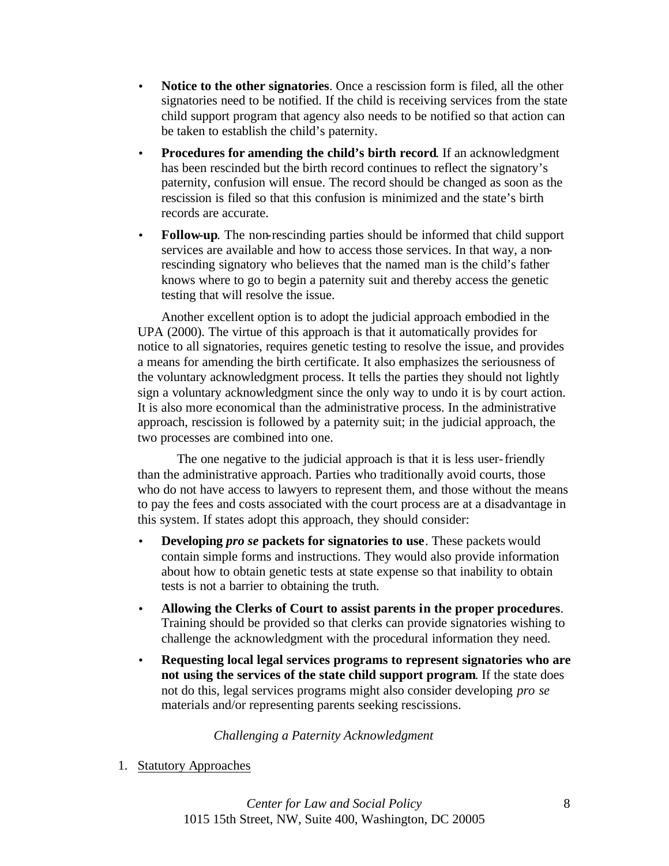- **Notice to the other signatories**. Once a rescission form is filed, all the other signatories need to be notified. If the child is receiving services from the state child support program that agency also needs to be notified so that action can be taken to establish the child's paternity.
- **Procedures for amending the child's birth record**. If an acknowledgment has been rescinded but the birth record continues to reflect the signatory's paternity, confusion will ensue. The record should be changed as soon as the rescission is filed so that this confusion is minimized and the state's birth records are accurate.
- **Follow-up**. The non-rescinding parties should be informed that child support services are available and how to access those services. In that way, a nonrescinding signatory who believes that the named man is the child's father knows where to go to begin a paternity suit and thereby access the genetic testing that will resolve the issue.

Another excellent option is to adopt the judicial approach embodied in the UPA (2000). The virtue of this approach is that it automatically provides for notice to all signatories, requires genetic testing to resolve the issue, and provides a means for amending the birth certificate. It also emphasizes the seriousness of the voluntary acknowledgment process. It tells the parties they should not lightly sign a voluntary acknowledgment since the only way to undo it is by court action. It is also more economical than the administrative process. In the administrative approach, rescission is followed by a paternity suit; in the judicial approach, the two processes are combined into one.

The one negative to the judicial approach is that it is less user-friendly than the administrative approach. Parties who traditionally avoid courts, those who do not have access to lawyers to represent them, and those without the means to pay the fees and costs associated with the court process are at a disadvantage in this system. If states adopt this approach, they should consider:

- **Developing** *pro se* **packets for signatories to use**. These packets would contain simple forms and instructions. They would also provide information about how to obtain genetic tests at state expense so that inability to obtain tests is not a barrier to obtaining the truth.
- **Allowing the Clerks of Court to assist parents in the proper procedures**. Training should be provided so that clerks can provide signatories wishing to challenge the acknowledgment with the procedural information they need.
- **Requesting local legal services programs to represent signatories who are not using the services of the state child support program**. If the state does not do this, legal services programs might also consider developing *pro se* materials and/or representing parents seeking rescissions.

## *Challenging a Paternity Acknowledgment*

1. Statutory Approaches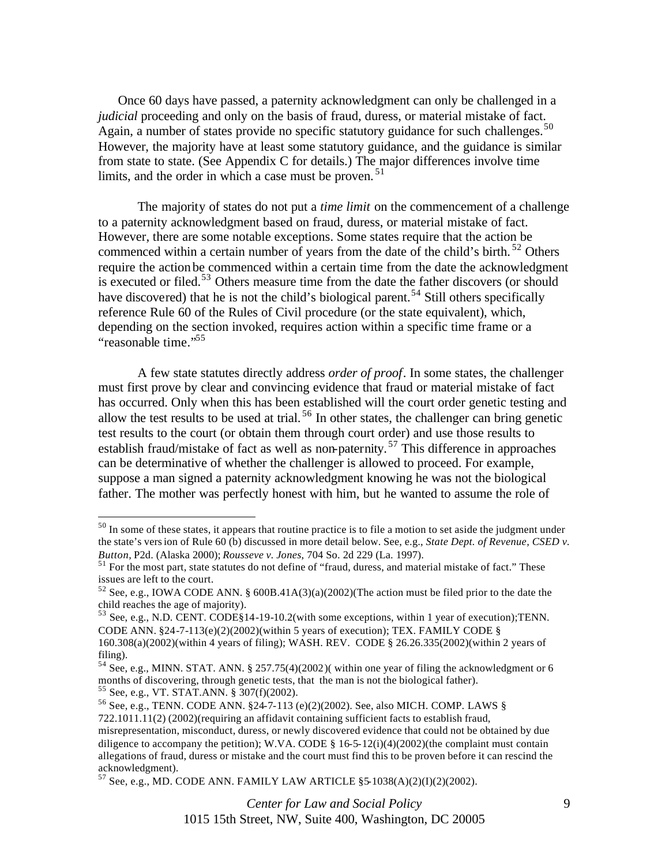Once 60 days have passed, a paternity acknowledgment can only be challenged in a *judicial* proceeding and only on the basis of fraud, duress, or material mistake of fact. Again, a number of states provide no specific statutory guidance for such challenges.<sup>50</sup> However, the majority have at least some statutory guidance, and the guidance is similar from state to state. (See Appendix C for details.) The major differences involve time limits, and the order in which a case must be proven. <sup>51</sup>

The majority of states do not put a *time limit* on the commencement of a challenge to a paternity acknowledgment based on fraud, duress, or material mistake of fact. However, there are some notable exceptions. Some states require that the action be commenced within a certain number of years from the date of the child's birth.<sup>52</sup> Others require the action be commenced within a certain time from the date the acknowledgment is executed or filed.<sup>53</sup> Others measure time from the date the father discovers (or should have discovered) that he is not the child's biological parent.<sup>54</sup> Still others specifically reference Rule 60 of the Rules of Civil procedure (or the state equivalent), which, depending on the section invoked, requires action within a specific time frame or a "reasonable time."<sup>55</sup>

A few state statutes directly address *order of proof*. In some states, the challenger must first prove by clear and convincing evidence that fraud or material mistake of fact has occurred. Only when this has been established will the court order genetic testing and allow the test results to be used at trial.<sup>56</sup> In other states, the challenger can bring genetic test results to the court (or obtain them through court order) and use those results to establish fraud/mistake of fact as well as non-paternity.<sup>57</sup> This difference in approaches can be determinative of whether the challenger is allowed to proceed. For example, suppose a man signed a paternity acknowledgment knowing he was not the biological father. The mother was perfectly honest with him, but he wanted to assume the role of

 $50$  In some of these states, it appears that routine practice is to file a motion to set aside the judgment under the state's version of Rule 60 (b) discussed in more detail below. See, e.g., *State Dept. of Revenue, CSED v. Button,* P2d. (Alaska 2000); *Rousseve v. Jones*, 704 So. 2d 229 (La. 1997).

<sup>&</sup>lt;sup>51</sup> For the most part, state statutes do not define of "fraud, duress, and material mistake of fact." These issues are left to the court.

<sup>&</sup>lt;sup>52</sup> See, e.g., IOWA CODE ANN. § 600B.41A(3)(a)(2002)(The action must be filed prior to the date the child reaches the age of majority).

 $^{53}$  See, e.g., N.D. CENT. CODE§14-19-10.2(with some exceptions, within 1 year of execution);TENN. CODE ANN. §24-7-113(e)(2)(2002)(within 5 years of execution); TEX. FAMILY CODE § 160.308(a)(2002)(within 4 years of filing); WASH. REV. CODE § 26.26.335(2002)(within 2 years of filing).

<sup>&</sup>lt;sup>54</sup> See, e.g., MINN. STAT. ANN. § 257.75(4)(2002)( within one year of filing the acknowledgment or 6 months of discovering, through genetic tests, that the man is not the biological father). <sup>55</sup> See, e.g., VT. STAT.ANN. § 307(f)(2002).

<sup>56</sup> See, e.g., TENN. CODE ANN. §24-7-113 (e)(2)(2002). See, also MICH. COMP. LAWS § 722.1011.11(2) (2002)(requiring an affidavit containing sufficient facts to establish fraud, misrepresentation, misconduct, duress, or newly discovered evidence that could not be obtained by due diligence to accompany the petition); W.VA. CODE  $\S$  16-5-12(i)(4)(2002)(the complaint must contain allegations of fraud, duress or mistake and the court must find this to be proven before it can rescind the acknowledgment).

 $57$  See, e.g., MD. CODE ANN. FAMILY LAW ARTICLE  $\S$ 5-1038(A)(2)(I)(2)(2002).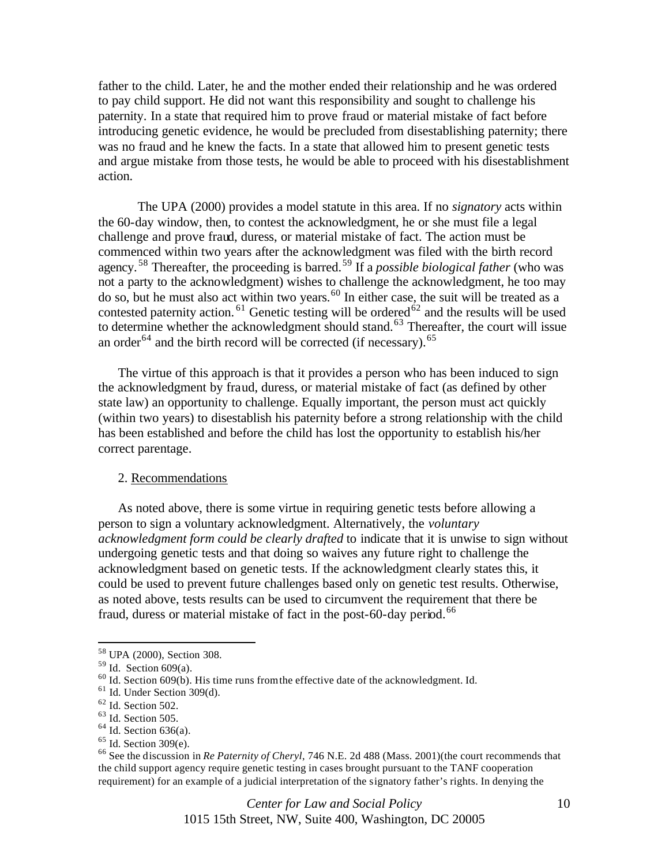father to the child. Later, he and the mother ended their relationship and he was ordered to pay child support. He did not want this responsibility and sought to challenge his paternity. In a state that required him to prove fraud or material mistake of fact before introducing genetic evidence, he would be precluded from disestablishing paternity; there was no fraud and he knew the facts. In a state that allowed him to present genetic tests and argue mistake from those tests, he would be able to proceed with his disestablishment action.

The UPA (2000) provides a model statute in this area. If no *signatory* acts within the 60-day window, then, to contest the acknowledgment, he or she must file a legal challenge and prove fraud, duress, or material mistake of fact. The action must be commenced within two years after the acknowledgment was filed with the birth record agency. <sup>58</sup> Thereafter, the proceeding is barred.<sup>59</sup> If a *possible biological father* (who was not a party to the acknowledgment) wishes to challenge the acknowledgment, he too may do so, but he must also act within two years.<sup>60</sup> In either case, the suit will be treated as a contested paternity action. <sup>61</sup> Genetic testing will be ordered<sup>62</sup> and the results will be used to determine whether the acknowledgment should stand.<sup>63</sup> Thereafter, the court will issue an order<sup>64</sup> and the birth record will be corrected (if necessary).<sup>65</sup>

The virtue of this approach is that it provides a person who has been induced to sign the acknowledgment by fraud, duress, or material mistake of fact (as defined by other state law) an opportunity to challenge. Equally important, the person must act quickly (within two years) to disestablish his paternity before a strong relationship with the child has been established and before the child has lost the opportunity to establish his/her correct parentage.

#### 2. Recommendations

As noted above, there is some virtue in requiring genetic tests before allowing a person to sign a voluntary acknowledgment. Alternatively, the *voluntary acknowledgment form could be clearly drafted* to indicate that it is unwise to sign without undergoing genetic tests and that doing so waives any future right to challenge the acknowledgment based on genetic tests. If the acknowledgment clearly states this, it could be used to prevent future challenges based only on genetic test results. Otherwise, as noted above, tests results can be used to circumvent the requirement that there be fraud, duress or material mistake of fact in the post-60-day period.<sup>66</sup>

<sup>58</sup> UPA (2000), Section 308.

 $59$  Id. Section 609(a).

 $60$  Id. Section  $609(b)$ . His time runs from the effective date of the acknowledgment. Id.

 $61$  Id. Under Section 309(d).

 $62$  Id. Section 502.

 $63$  Id. Section 505.

 $64$  Id. Section 636(a).

 $65$  Id. Section 309(e).

<sup>66</sup> See the discussion in *Re Paternity of Cheryl*, 746 N.E. 2d 488 (Mass. 2001)(the court recommends that the child support agency require genetic testing in cases brought pursuant to the TANF cooperation requirement) for an example of a judicial interpretation of the signatory father's rights. In denying the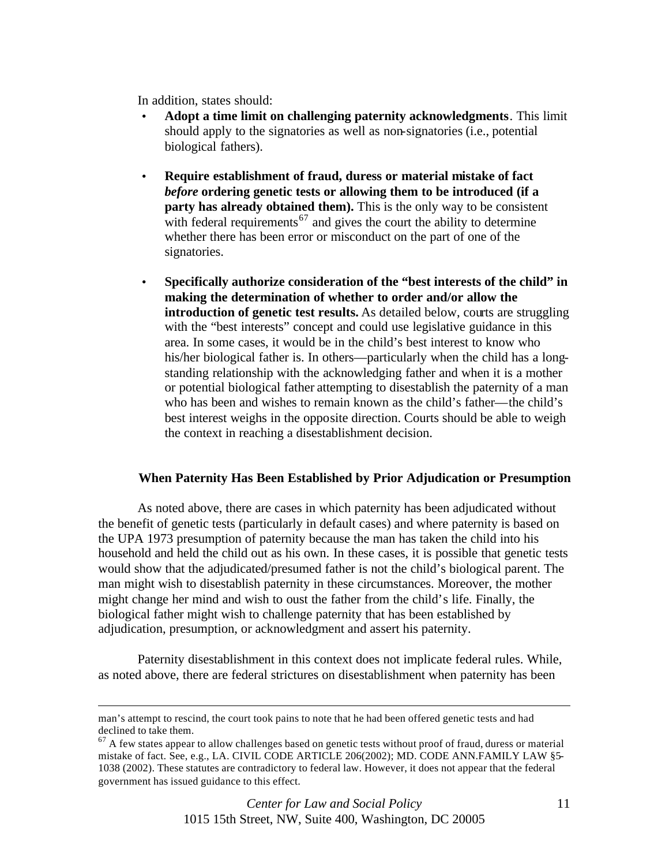In addition, states should:

- **Adopt a time limit on challenging paternity acknowledgments**. This limit should apply to the signatories as well as non-signatories (i.e., potential biological fathers).
- **Require establishment of fraud, duress or material mistake of fact**  *before* **ordering genetic tests or allowing them to be introduced (if a party has already obtained them).** This is the only way to be consistent with federal requirements<sup>67</sup> and gives the court the ability to determine whether there has been error or misconduct on the part of one of the signatories.
- **Specifically authorize consideration of the "best interests of the child" in making the determination of whether to order and/or allow the introduction of genetic test results.** As detailed below, courts are struggling with the "best interests" concept and could use legislative guidance in this area. In some cases, it would be in the child's best interest to know who his/her biological father is. In others—particularly when the child has a longstanding relationship with the acknowledging father and when it is a mother or potential biological father attempting to disestablish the paternity of a man who has been and wishes to remain known as the child's father—the child's best interest weighs in the opposite direction. Courts should be able to weigh the context in reaching a disestablishment decision.

## **When Paternity Has Been Established by Prior Adjudication or Presumption**

As noted above, there are cases in which paternity has been adjudicated without the benefit of genetic tests (particularly in default cases) and where paternity is based on the UPA 1973 presumption of paternity because the man has taken the child into his household and held the child out as his own. In these cases, it is possible that genetic tests would show that the adjudicated/presumed father is not the child's biological parent. The man might wish to disestablish paternity in these circumstances. Moreover, the mother might change her mind and wish to oust the father from the child's life. Finally, the biological father might wish to challenge paternity that has been established by adjudication, presumption, or acknowledgment and assert his paternity.

Paternity disestablishment in this context does not implicate federal rules. While, as noted above, there are federal strictures on disestablishment when paternity has been

man's attempt to rescind, the court took pains to note that he had been offered genetic tests and had declined to take them.

 $67$  A few states appear to allow challenges based on genetic tests without proof of fraud, duress or material mistake of fact. See, e.g., LA. CIVIL CODE ARTICLE 206(2002); MD. CODE ANN.FAMILY LAW §5- 1038 (2002). These statutes are contradictory to federal law. However, it does not appear that the federal government has issued guidance to this effect.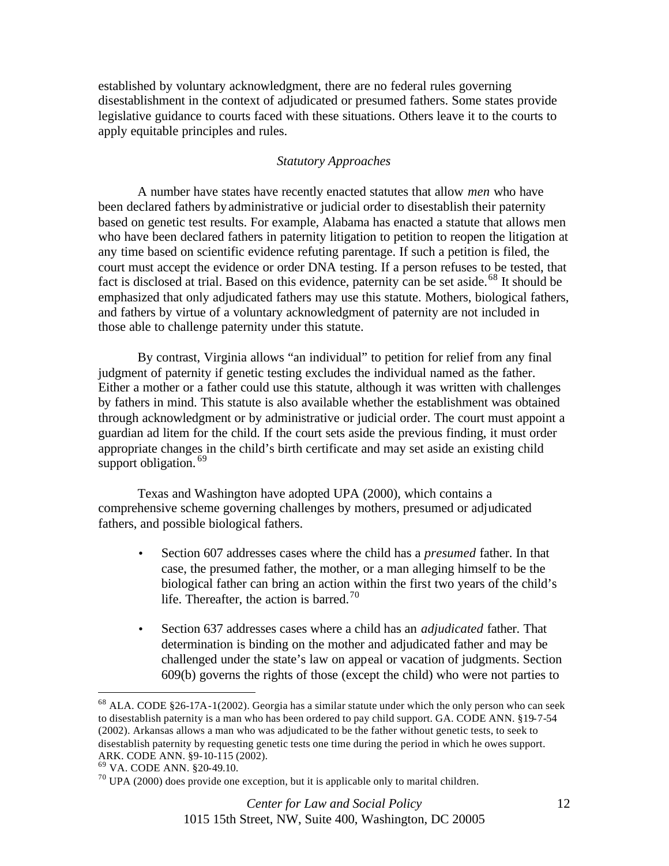established by voluntary acknowledgment, there are no federal rules governing disestablishment in the context of adjudicated or presumed fathers. Some states provide legislative guidance to courts faced with these situations. Others leave it to the courts to apply equitable principles and rules.

## *Statutory Approaches*

A number have states have recently enacted statutes that allow *men* who have been declared fathers by administrative or judicial order to disestablish their paternity based on genetic test results. For example, Alabama has enacted a statute that allows men who have been declared fathers in paternity litigation to petition to reopen the litigation at any time based on scientific evidence refuting parentage. If such a petition is filed, the court must accept the evidence or order DNA testing. If a person refuses to be tested, that fact is disclosed at trial. Based on this evidence, paternity can be set aside.<sup>68</sup> It should be emphasized that only adjudicated fathers may use this statute. Mothers, biological fathers, and fathers by virtue of a voluntary acknowledgment of paternity are not included in those able to challenge paternity under this statute.

By contrast, Virginia allows "an individual" to petition for relief from any final judgment of paternity if genetic testing excludes the individual named as the father. Either a mother or a father could use this statute, although it was written with challenges by fathers in mind. This statute is also available whether the establishment was obtained through acknowledgment or by administrative or judicial order. The court must appoint a guardian ad litem for the child. If the court sets aside the previous finding, it must order appropriate changes in the child's birth certificate and may set aside an existing child support obligation.<sup>69</sup>

Texas and Washington have adopted UPA (2000), which contains a comprehensive scheme governing challenges by mothers, presumed or adjudicated fathers, and possible biological fathers.

- Section 607 addresses cases where the child has a *presumed* father. In that case, the presumed father, the mother, or a man alleging himself to be the biological father can bring an action within the first two years of the child's life. Thereafter, the action is barred.<sup>70</sup>
- Section 637 addresses cases where a child has an *adjudicated* father. That determination is binding on the mother and adjudicated father and may be challenged under the state's law on appeal or vacation of judgments. Section 609(b) governs the rights of those (except the child) who were not parties to

<sup>68</sup> ALA. CODE §26-17A-1(2002). Georgia has a similar statute under which the only person who can seek to disestablish paternity is a man who has been ordered to pay child support. GA. CODE ANN. §19-7-54 (2002). Arkansas allows a man who was adjudicated to be the father without genetic tests, to seek to disestablish paternity by requesting genetic tests one time during the period in which he owes support. ARK. CODE ANN. §9-10-115 (2002).

<sup>69</sup> VA. CODE ANN. §20-49.10.

 $70$  UPA (2000) does provide one exception, but it is applicable only to marital children.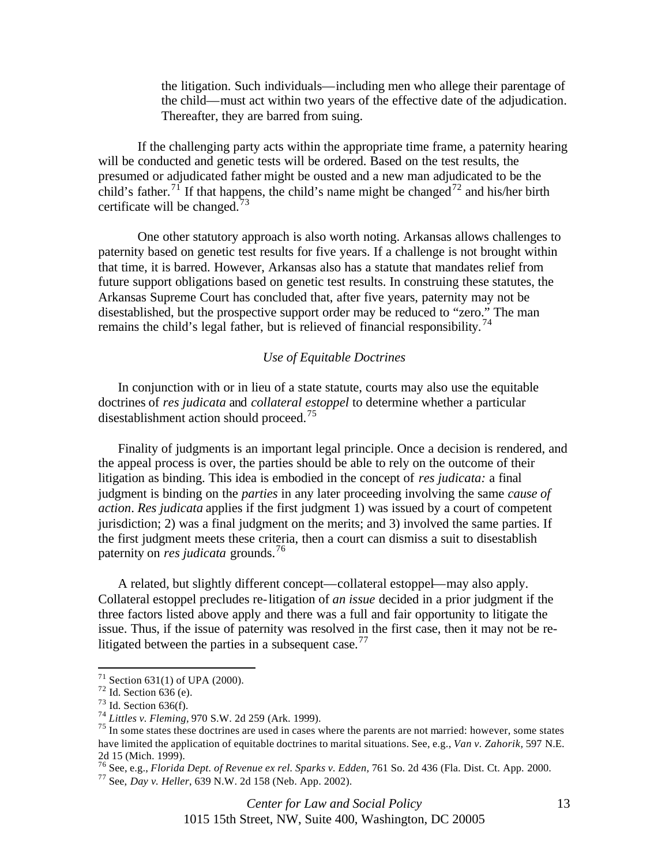the litigation. Such individuals—including men who allege their parentage of the child—must act within two years of the effective date of the adjudication. Thereafter, they are barred from suing.

If the challenging party acts within the appropriate time frame, a paternity hearing will be conducted and genetic tests will be ordered. Based on the test results, the presumed or adjudicated father might be ousted and a new man adjudicated to be the child's father.<sup>71</sup> If that happens, the child's name might be changed<sup>72</sup> and his/her birth certificate will be changed.<sup>73</sup>

One other statutory approach is also worth noting. Arkansas allows challenges to paternity based on genetic test results for five years. If a challenge is not brought within that time, it is barred. However, Arkansas also has a statute that mandates relief from future support obligations based on genetic test results. In construing these statutes, the Arkansas Supreme Court has concluded that, after five years, paternity may not be disestablished, but the prospective support order may be reduced to "zero." The man remains the child's legal father, but is relieved of financial responsibility.<sup>74</sup>

#### *Use of Equitable Doctrines*

In conjunction with or in lieu of a state statute, courts may also use the equitable doctrines of *res judicata* and *collateral estoppel* to determine whether a particular disestablishment action should proceed.<sup>75</sup>

Finality of judgments is an important legal principle. Once a decision is rendered, and the appeal process is over, the parties should be able to rely on the outcome of their litigation as binding. This idea is embodied in the concept of *res judicata:* a final judgment is binding on the *parties* in any later proceeding involving the same *cause of action*. *Res judicata* applies if the first judgment 1) was issued by a court of competent jurisdiction; 2) was a final judgment on the merits; and 3) involved the same parties. If the first judgment meets these criteria, then a court can dismiss a suit to disestablish paternity on *res judicata* grounds.<sup>76</sup>

A related, but slightly different concept—collateral estoppel—may also apply. Collateral estoppel precludes re-litigation of *an issue* decided in a prior judgment if the three factors listed above apply and there was a full and fair opportunity to litigate the issue. Thus, if the issue of paternity was resolved in the first case, then it may not be relitigated between the parties in a subsequent case.<sup>77</sup>

 $71$  Section 631(1) of UPA (2000).

 $72$  Id. Section 636 (e).

 $73$  Id. Section 636(f).

<sup>74</sup> *Littles v. Fleming,* 970 S.W. 2d 259 (Ark. 1999).

<sup>&</sup>lt;sup>75</sup> In some states these doctrines are used in cases where the parents are not married: however, some states have limited the application of equitable doctrines to marital situations. See, e.g., *Van v. Zahorik,* 597 N.E. 2d 15 (Mich. 1999).

<sup>76</sup> See, e.g., *Florida Dept. of Revenue ex rel. Sparks v. Edden,* 761 So. 2d 436 (Fla. Dist. Ct. App. 2000.

<sup>77</sup> See, *Day v. Heller*, 639 N.W. 2d 158 (Neb. App. 2002).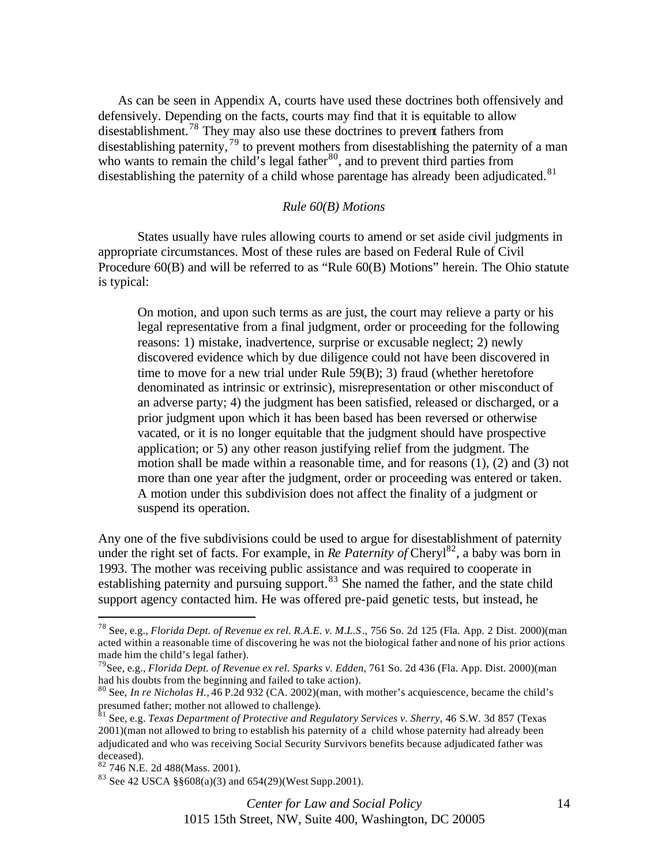As can be seen in Appendix A, courts have used these doctrines both offensively and defensively. Depending on the facts, courts may find that it is equitable to allow disestablishment.<sup>78</sup> They may also use these doctrines to prevent fathers from disestablishing paternity,  $\frac{79}{2}$  to prevent mothers from disestablishing the paternity of a man who wants to remain the child's legal father $80$ , and to prevent third parties from disestablishing the paternity of a child whose parentage has already been adjudicated.<sup>81</sup>

#### *Rule 60(B) Motions*

States usually have rules allowing courts to amend or set aside civil judgments in appropriate circumstances. Most of these rules are based on Federal Rule of Civil Procedure 60(B) and will be referred to as "Rule 60(B) Motions" herein. The Ohio statute is typical:

On motion, and upon such terms as are just, the court may relieve a party or his legal representative from a final judgment, order or proceeding for the following reasons: 1) mistake, inadvertence, surprise or excusable neglect; 2) newly discovered evidence which by due diligence could not have been discovered in time to move for a new trial under Rule 59(B); 3) fraud (whether heretofore denominated as intrinsic or extrinsic), misrepresentation or other misconduct of an adverse party; 4) the judgment has been satisfied, released or discharged, or a prior judgment upon which it has been based has been reversed or otherwise vacated, or it is no longer equitable that the judgment should have prospective application; or 5) any other reason justifying relief from the judgment. The motion shall be made within a reasonable time, and for reasons (1), (2) and (3) not more than one year after the judgment, order or proceeding was entered or taken. A motion under this subdivision does not affect the finality of a judgment or suspend its operation.

Any one of the five subdivisions could be used to argue for disestablishment of paternity under the right set of facts. For example, in *Re Paternity of* Cheryl<sup>82</sup>, a baby was born in 1993. The mother was receiving public assistance and was required to cooperate in establishing paternity and pursuing support.<sup>83</sup> She named the father, and the state child support agency contacted him. He was offered pre-paid genetic tests, but instead, he

<sup>78</sup> See, e.g., *Florida Dept. of Revenue ex rel. R.A.E. v. M.L.S*., 756 So. 2d 125 (Fla. App. 2 Dist. 2000)(man acted within a reasonable time of discovering he was not the biological father and none of his prior actions made him the child's legal father).

<sup>79</sup>See, e.g., *Florida Dept. of Revenue ex rel. Sparks v. Edden*, 761 So. 2d 436 (Fla. App. Dist. 2000)(man had his doubts from the beginning and failed to take action).

<sup>80</sup> See, *In re Nicholas H.,* 46 P.2d 932 (CA. 2002)(man, with mother's acquiescence, became the child's presumed father; mother not allowed to challenge).

<sup>81</sup> See, e.g. *Texas Department of Protective and Regulatory Services v. Sherry*, 46 S.W. 3d 857 (Texas 2001)(man not allowed to bring to establish his paternity of a child whose paternity had already been adjudicated and who was receiving Social Security Survivors benefits because adjudicated father was deceased).

<sup>82</sup> 746 N.E. 2d 488(Mass. 2001).

<sup>&</sup>lt;sup>83</sup> See 42 USCA  $\S\ 608(a)(3)$  and 654(29)(West Supp.2001).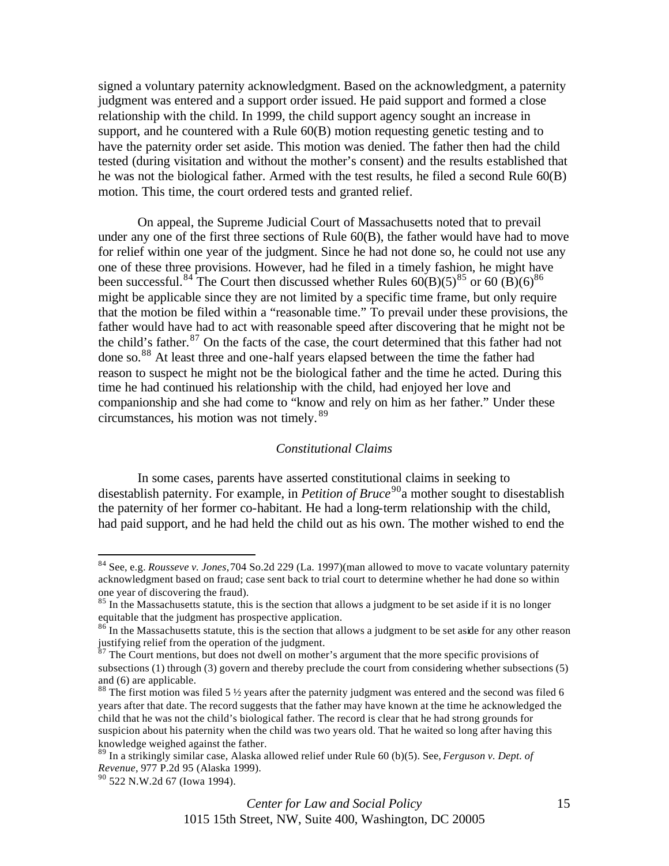signed a voluntary paternity acknowledgment. Based on the acknowledgment, a paternity judgment was entered and a support order issued. He paid support and formed a close relationship with the child. In 1999, the child support agency sought an increase in support, and he countered with a Rule 60(B) motion requesting genetic testing and to have the paternity order set aside. This motion was denied. The father then had the child tested (during visitation and without the mother's consent) and the results established that he was not the biological father. Armed with the test results, he filed a second Rule 60(B) motion. This time, the court ordered tests and granted relief.

On appeal, the Supreme Judicial Court of Massachusetts noted that to prevail under any one of the first three sections of Rule 60(B), the father would have had to move for relief within one year of the judgment. Since he had not done so, he could not use any one of these three provisions. However, had he filed in a timely fashion, he might have been successful.<sup>84</sup> The Court then discussed whether Rules  $60(B)(5)^{85}$  or  $60(B)(6)^{86}$ might be applicable since they are not limited by a specific time frame, but only require that the motion be filed within a "reasonable time." To prevail under these provisions, the father would have had to act with reasonable speed after discovering that he might not be the child's father. $87$  On the facts of the case, the court determined that this father had not done so.<sup>88</sup> At least three and one-half years elapsed between the time the father had reason to suspect he might not be the biological father and the time he acted. During this time he had continued his relationship with the child, had enjoyed her love and companionship and she had come to "know and rely on him as her father." Under these circumstances, his motion was not timely. <sup>89</sup>

## *Constitutional Claims*

In some cases, parents have asserted constitutional claims in seeking to disestablish paternity. For example, in *Petition of Bruce*<sup>90</sup>a mother sought to disestablish the paternity of her former co-habitant. He had a long-term relationship with the child, had paid support, and he had held the child out as his own. The mother wished to end the

<sup>84</sup> See, e.g. *Rousseve v. Jones,*704 So.2d 229 (La. 1997)(man allowed to move to vacate voluntary paternity acknowledgment based on fraud; case sent back to trial court to determine whether he had done so within one year of discovering the fraud).

 $85$  In the Massachusetts statute, this is the section that allows a judgment to be set aside if it is no longer equitable that the judgment has prospective application.

 $86$  In the Massachusetts statute, this is the section that allows a judgment to be set aside for any other reason justifying relief from the operation of the judgment.

 $87$  The Court mentions, but does not dwell on mother's argument that the more specific provisions of subsections (1) through (3) govern and thereby preclude the court from considering whether subsections (5) and (6) are applicable.

<sup>&</sup>lt;sup>88</sup> The first motion was filed 5 <sup>1</sup>/<sub>2</sub> years after the paternity judgment was entered and the second was filed 6 years after that date. The record suggests that the father may have known at the time he acknowledged the child that he was not the child's biological father. The record is clear that he had strong grounds for suspicion about his paternity when the child was two years old. That he waited so long after having this knowledge weighed against the father.

<sup>89</sup> In a strikingly similar case, Alaska allowed relief under Rule 60 (b)(5). See, *Ferguson v. Dept. of Revenue,* 977 P.2d 95 (Alaska 1999).

<sup>&</sup>lt;sup>90</sup> 522 N.W.2d 67 (Iowa 1994).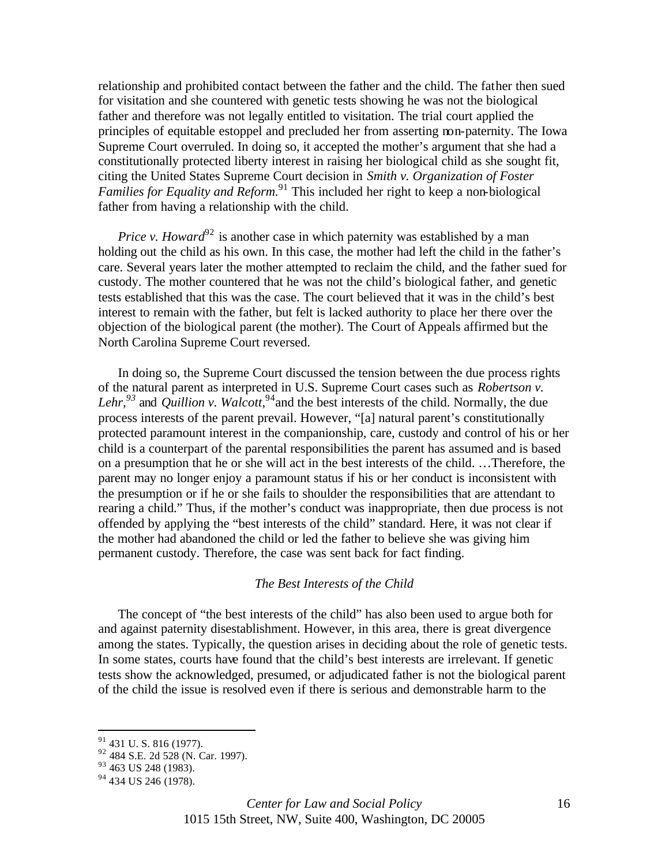relationship and prohibited contact between the father and the child. The father then sued for visitation and she countered with genetic tests showing he was not the biological father and therefore was not legally entitled to visitation. The trial court applied the principles of equitable estoppel and precluded her from asserting non-paternity. The Iowa Supreme Court overruled. In doing so, it accepted the mother's argument that she had a constitutionally protected liberty interest in raising her biological child as she sought fit, citing the United States Supreme Court decision in *Smith v. Organization of Foster Families for Equality and Reform.*<sup>91</sup> This included her right to keep a non-biological father from having a relationship with the child.

*Price v. Howard*<sup>92</sup> is another case in which paternity was established by a man holding out the child as his own. In this case, the mother had left the child in the father's care. Several years later the mother attempted to reclaim the child, and the father sued for custody. The mother countered that he was not the child's biological father, and genetic tests established that this was the case. The court believed that it was in the child's best interest to remain with the father, but felt is lacked authority to place her there over the objection of the biological parent (the mother). The Court of Appeals affirmed but the North Carolina Supreme Court reversed.

In doing so, the Supreme Court discussed the tension between the due process rights of the natural parent as interpreted in U.S. Supreme Court cases such as *Robertson v.*  Lehr,<sup>93</sup> and Quillion v. Walcott, <sup>94</sup> and the best interests of the child. Normally, the due process interests of the parent prevail. However, "[a] natural parent's constitutionally protected paramount interest in the companionship, care, custody and control of his or her child is a counterpart of the parental responsibilities the parent has assumed and is based on a presumption that he or she will act in the best interests of the child. …Therefore, the parent may no longer enjoy a paramount status if his or her conduct is inconsistent with the presumption or if he or she fails to shoulder the responsibilities that are attendant to rearing a child." Thus, if the mother's conduct was inappropriate, then due process is not offended by applying the "best interests of the child" standard. Here, it was not clear if the mother had abandoned the child or led the father to believe she was giving him permanent custody. Therefore, the case was sent back for fact finding.

#### *The Best Interests of the Child*

The concept of "the best interests of the child" has also been used to argue both for and against paternity disestablishment. However, in this area, there is great divergence among the states. Typically, the question arises in deciding about the role of genetic tests. In some states, courts have found that the child's best interests are irrelevant. If genetic tests show the acknowledged, presumed, or adjudicated father is not the biological parent of the child the issue is resolved even if there is serious and demonstrable harm to the

 $91$  431 U.S. 816 (1977).

<sup>&</sup>lt;sup>92</sup> 484 S.E. 2d 528 (N. Car. 1997).

<sup>&</sup>lt;sup>93</sup> 463 US 248 (1983).

<sup>&</sup>lt;sup>94</sup> 434 US 246 (1978).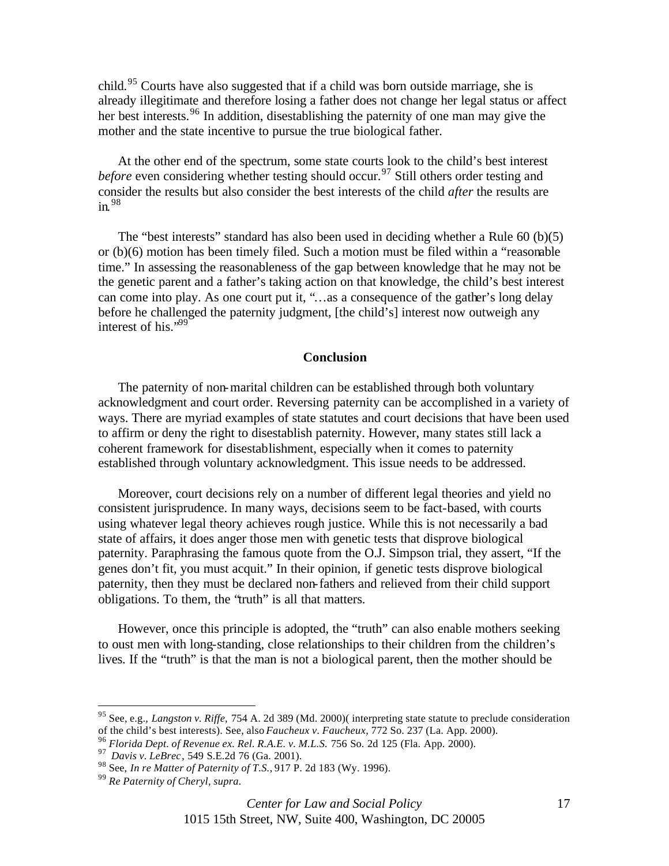child.<sup>95</sup> Courts have also suggested that if a child was born outside marriage, she is already illegitimate and therefore losing a father does not change her legal status or affect her best interests.<sup>96</sup> In addition, disestablishing the paternity of one man may give the mother and the state incentive to pursue the true biological father.

At the other end of the spectrum, some state courts look to the child's best interest *before* even considering whether testing should occur.<sup>97</sup> Still others order testing and consider the results but also consider the best interests of the child *after* the results are in*.* 98

The "best interests" standard has also been used in deciding whether a Rule 60 (b)(5) or (b)(6) motion has been timely filed. Such a motion must be filed within a "reasonable time." In assessing the reasonableness of the gap between knowledge that he may not be the genetic parent and a father's taking action on that knowledge, the child's best interest can come into play. As one court put it, "…as a consequence of the gather's long delay before he challenged the paternity judgment, [the child's] interest now outweigh any interest of his." $99$ 

#### **Conclusion**

The paternity of non-marital children can be established through both voluntary acknowledgment and court order. Reversing paternity can be accomplished in a variety of ways. There are myriad examples of state statutes and court decisions that have been used to affirm or deny the right to disestablish paternity. However, many states still lack a coherent framework for disestablishment, especially when it comes to paternity established through voluntary acknowledgment. This issue needs to be addressed.

Moreover, court decisions rely on a number of different legal theories and yield no consistent jurisprudence. In many ways, decisions seem to be fact-based, with courts using whatever legal theory achieves rough justice. While this is not necessarily a bad state of affairs, it does anger those men with genetic tests that disprove biological paternity. Paraphrasing the famous quote from the O.J. Simpson trial, they assert, "If the genes don't fit, you must acquit." In their opinion, if genetic tests disprove biological paternity, then they must be declared non-fathers and relieved from their child support obligations. To them, the "truth" is all that matters.

However, once this principle is adopted, the "truth" can also enable mothers seeking to oust men with long-standing, close relationships to their children from the children's lives. If the "truth" is that the man is not a biological parent, then the mother should be

<sup>95</sup> See, e.g., *Langston v. Riffe,* 754 A. 2d 389 (Md. 2000)( interpreting state statute to preclude consideration of the child's best interests). See, also *Faucheux v. Faucheux,* 772 So. 237 (La. App. 2000).

<sup>96</sup> *Florida Dept. of Revenue ex. Rel. R.A.E. v. M.L.S.* 756 So. 2d 125 (Fla. App. 2000).

<sup>97</sup> *Davis v. LeBrec*, 549 S.E.2d 76 (Ga. 2001).

<sup>98</sup> See, *In re Matter of Paternity of T.S.,* 917 P. 2d 183 (Wy. 1996).

<sup>99</sup> *Re Paternity of Cheryl, supra.*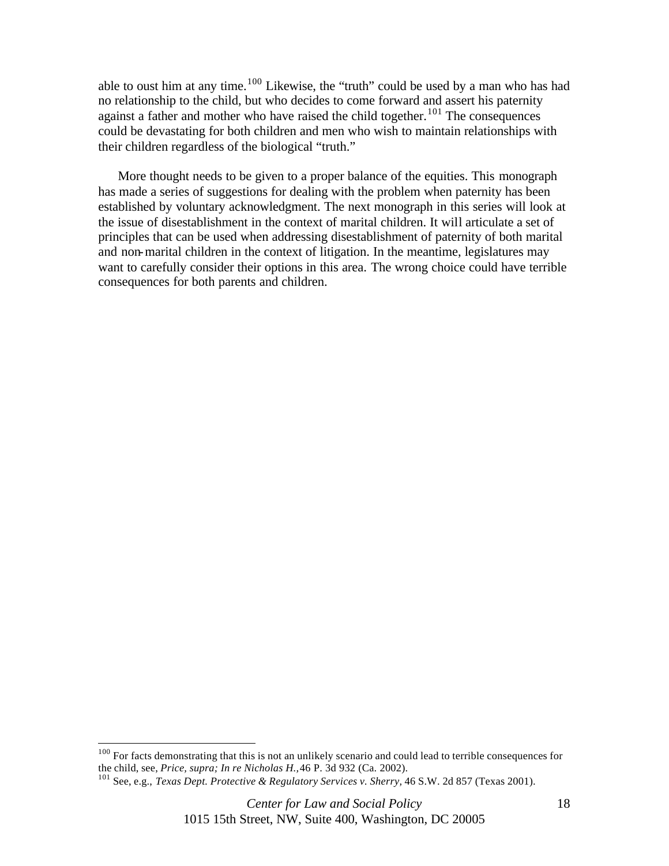able to oust him at any time.<sup>100</sup> Likewise, the "truth" could be used by a man who has had no relationship to the child, but who decides to come forward and assert his paternity against a father and mother who have raised the child together.<sup>101</sup> The consequences could be devastating for both children and men who wish to maintain relationships with their children regardless of the biological "truth."

More thought needs to be given to a proper balance of the equities. This monograph has made a series of suggestions for dealing with the problem when paternity has been established by voluntary acknowledgment. The next monograph in this series will look at the issue of disestablishment in the context of marital children. It will articulate a set of principles that can be used when addressing disestablishment of paternity of both marital and non-marital children in the context of litigation. In the meantime, legislatures may want to carefully consider their options in this area. The wrong choice could have terrible consequences for both parents and children.

<sup>&</sup>lt;sup>100</sup> For facts demonstrating that this is not an unlikely scenario and could lead to terrible consequences for the child, see, *Price, supra; In re Nicholas H.,*46 P. 3d 932 (Ca. 2002).

<sup>&</sup>lt;sup>101</sup> See, e.g., *Texas Dept. Protective & Regulatory Services v. Sherry*, 46 S.W. 2d 857 (Texas 2001).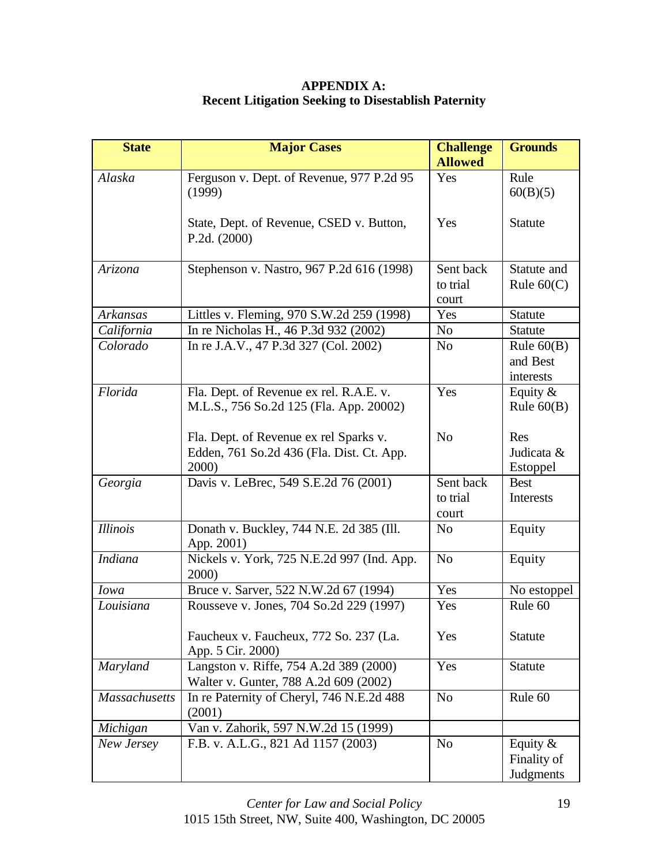## **APPENDIX A: Recent Litigation Seeking to Disestablish Paternity**

| <b>State</b>         | <b>Major Cases</b>                                                                           | <b>Challenge</b><br><b>Allowed</b> | <b>Grounds</b>                          |
|----------------------|----------------------------------------------------------------------------------------------|------------------------------------|-----------------------------------------|
| Alaska               | Ferguson v. Dept. of Revenue, 977 P.2d 95<br>(1999)                                          | Yes                                | Rule<br>60(B)(5)                        |
|                      | State, Dept. of Revenue, CSED v. Button,<br>P.2d. $(2000)$                                   | Yes                                | <b>Statute</b>                          |
| <b>Arizona</b>       | Stephenson v. Nastro, 967 P.2d 616 (1998)                                                    | Sent back<br>to trial<br>court     | Statute and<br>Rule $60(C)$             |
| Arkansas             | Littles v. Fleming, 970 S.W.2d 259 (1998)                                                    | Yes                                | <b>Statute</b>                          |
| California           | In re Nicholas H., 46 P.3d 932 (2002)                                                        | N <sub>o</sub>                     | <b>Statute</b>                          |
| Colorado             | In re J.A.V., 47 P.3d 327 (Col. 2002)                                                        | N <sub>o</sub>                     | Rule $60(B)$<br>and Best<br>interests   |
| Florida              | Fla. Dept. of Revenue ex rel. R.A.E. v.<br>M.L.S., 756 So.2d 125 (Fla. App. 20002)           | Yes                                | Equity $\&$<br>Rule $60(B)$             |
|                      | Fla. Dept. of Revenue ex rel Sparks v.<br>Edden, 761 So.2d 436 (Fla. Dist. Ct. App.<br>2000) | N <sub>o</sub>                     | Res<br>Judicata &<br>Estoppel           |
| Georgia              | Davis v. LeBrec, 549 S.E.2d 76 (2001)                                                        | Sent back<br>to trial<br>court     | <b>Best</b><br>Interests                |
| <b>Illinois</b>      | Donath v. Buckley, 744 N.E. 2d 385 (Ill.<br>App. 2001)                                       | N <sub>o</sub>                     | Equity                                  |
| <b>Indiana</b>       | Nickels v. York, 725 N.E.2d 997 (Ind. App.<br>2000)                                          | N <sub>o</sub>                     | Equity                                  |
| <i>Iowa</i>          | Bruce v. Sarver, 522 N.W.2d 67 (1994)                                                        | Yes                                | No estoppel                             |
| Louisiana            | Rousseve v. Jones, 704 So.2d 229 (1997)                                                      | Yes                                | Rule 60                                 |
|                      | Faucheux v. Faucheux, 772 So. 237 (La.<br>App. 5 Cir. 2000)                                  | Yes                                | <b>Statute</b>                          |
| Maryland             | Langston v. Riffe, 754 A.2d 389 (2000)<br>Walter v. Gunter, 788 A.2d 609 (2002)              | Yes                                | <b>Statute</b>                          |
| <b>Massachusetts</b> | In re Paternity of Cheryl, 746 N.E.2d 488<br>(2001)                                          | N <sub>o</sub>                     | Rule 60                                 |
| Michigan             | Van v. Zahorik, 597 N.W.2d 15 (1999)                                                         |                                    |                                         |
| New Jersey           | F.B. v. A.L.G., 821 Ad 1157 (2003)                                                           | N <sub>o</sub>                     | Equity $\&$<br>Finality of<br>Judgments |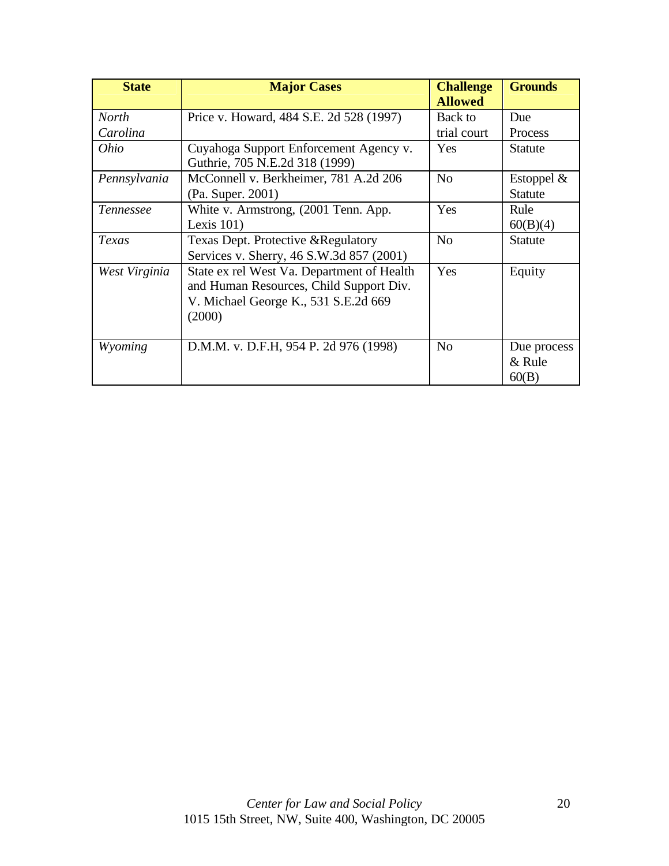| <b>State</b>     | <b>Major Cases</b>                                                                                                                      | <b>Challenge</b><br><b>Allowed</b> | <b>Grounds</b>                   |
|------------------|-----------------------------------------------------------------------------------------------------------------------------------------|------------------------------------|----------------------------------|
| <b>North</b>     | Price v. Howard, 484 S.E. 2d 528 (1997)                                                                                                 | Back to                            | Due                              |
| Carolina         |                                                                                                                                         | trial court                        | Process                          |
| <i>Ohio</i>      | Cuyahoga Support Enforcement Agency v.<br>Guthrie, 705 N.E.2d 318 (1999)                                                                | Yes                                | <b>Statute</b>                   |
| Pennsylvania     | McConnell v. Berkheimer, 781 A.2d 206                                                                                                   | N <sub>0</sub>                     | Estoppel $\&$                    |
|                  | (Pa. Super. 2001)                                                                                                                       |                                    | <b>Statute</b>                   |
| <i>Tennessee</i> | White v. Armstrong, (2001 Tenn. App.                                                                                                    | Yes                                | Rule                             |
|                  | Lexis $101$ )                                                                                                                           |                                    | 60(B)(4)                         |
| Texas            | Texas Dept. Protective & Regulatory                                                                                                     | N <sub>0</sub>                     | <b>Statute</b>                   |
|                  | Services v. Sherry, 46 S.W.3d 857 (2001)                                                                                                |                                    |                                  |
| West Virginia    | State ex rel West Va. Department of Health<br>and Human Resources, Child Support Div.<br>V. Michael George K., 531 S.E.2d 669<br>(2000) | Yes                                | Equity                           |
| Wyoming          | D.M.M. v. D.F.H, 954 P. 2d 976 (1998)                                                                                                   | N <sub>0</sub>                     | Due process<br>$&$ Rule<br>60(B) |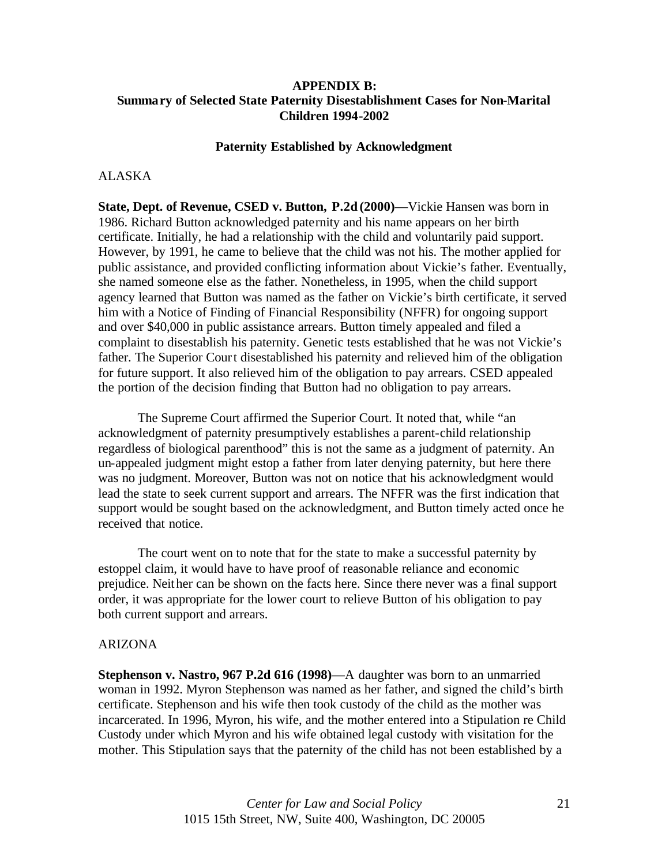## **APPENDIX B: Summary of Selected State Paternity Disestablishment Cases for Non-Marital Children 1994-2002**

#### **Paternity Established by Acknowledgment**

#### ALASKA

**State, Dept. of Revenue, CSED v. Button, P.2d (2000)**—Vickie Hansen was born in 1986. Richard Button acknowledged paternity and his name appears on her birth certificate. Initially, he had a relationship with the child and voluntarily paid support. However, by 1991, he came to believe that the child was not his. The mother applied for public assistance, and provided conflicting information about Vickie's father. Eventually, she named someone else as the father. Nonetheless, in 1995, when the child support agency learned that Button was named as the father on Vickie's birth certificate, it served him with a Notice of Finding of Financial Responsibility (NFFR) for ongoing support and over \$40,000 in public assistance arrears. Button timely appealed and filed a complaint to disestablish his paternity. Genetic tests established that he was not Vickie's father. The Superior Court disestablished his paternity and relieved him of the obligation for future support. It also relieved him of the obligation to pay arrears. CSED appealed the portion of the decision finding that Button had no obligation to pay arrears.

The Supreme Court affirmed the Superior Court. It noted that, while "an acknowledgment of paternity presumptively establishes a parent-child relationship regardless of biological parenthood" this is not the same as a judgment of paternity. An un-appealed judgment might estop a father from later denying paternity, but here there was no judgment. Moreover, Button was not on notice that his acknowledgment would lead the state to seek current support and arrears. The NFFR was the first indication that support would be sought based on the acknowledgment, and Button timely acted once he received that notice.

The court went on to note that for the state to make a successful paternity by estoppel claim, it would have to have proof of reasonable reliance and economic prejudice. Neither can be shown on the facts here. Since there never was a final support order, it was appropriate for the lower court to relieve Button of his obligation to pay both current support and arrears.

#### ARIZONA

**Stephenson v. Nastro, 967 P.2d 616 (1998)**—A daughter was born to an unmarried woman in 1992. Myron Stephenson was named as her father, and signed the child's birth certificate. Stephenson and his wife then took custody of the child as the mother was incarcerated. In 1996, Myron, his wife, and the mother entered into a Stipulation re Child Custody under which Myron and his wife obtained legal custody with visitation for the mother. This Stipulation says that the paternity of the child has not been established by a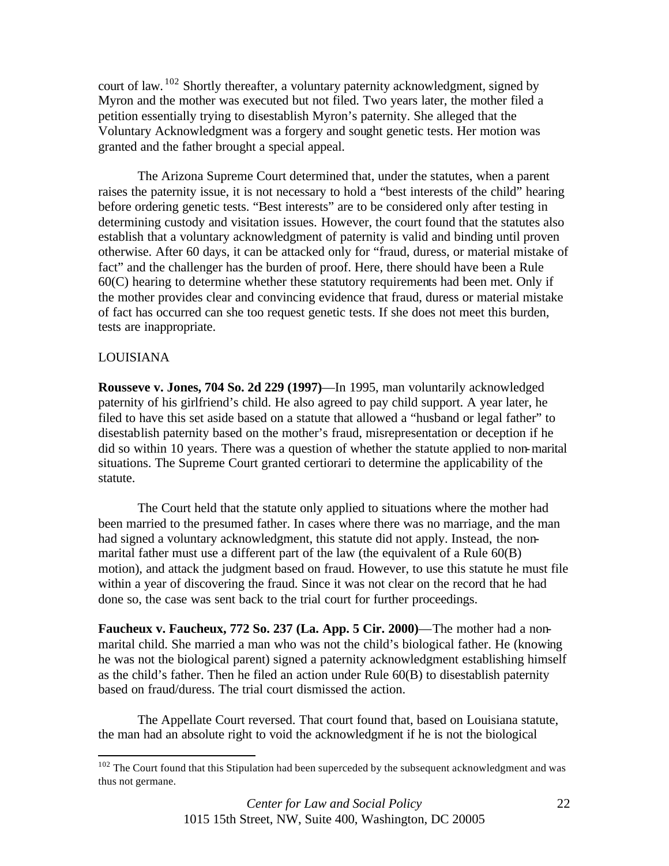court of law. <sup>102</sup> Shortly thereafter, a voluntary paternity acknowledgment, signed by Myron and the mother was executed but not filed. Two years later, the mother filed a petition essentially trying to disestablish Myron's paternity. She alleged that the Voluntary Acknowledgment was a forgery and sought genetic tests. Her motion was granted and the father brought a special appeal.

The Arizona Supreme Court determined that, under the statutes, when a parent raises the paternity issue, it is not necessary to hold a "best interests of the child" hearing before ordering genetic tests. "Best interests" are to be considered only after testing in determining custody and visitation issues. However, the court found that the statutes also establish that a voluntary acknowledgment of paternity is valid and binding until proven otherwise. After 60 days, it can be attacked only for "fraud, duress, or material mistake of fact" and the challenger has the burden of proof. Here, there should have been a Rule 60(C) hearing to determine whether these statutory requirements had been met. Only if the mother provides clear and convincing evidence that fraud, duress or material mistake of fact has occurred can she too request genetic tests. If she does not meet this burden, tests are inappropriate.

## LOUISIANA

 $\overline{a}$ 

**Rousseve v. Jones, 704 So. 2d 229 (1997)**—In 1995, man voluntarily acknowledged paternity of his girlfriend's child. He also agreed to pay child support. A year later, he filed to have this set aside based on a statute that allowed a "husband or legal father" to disestablish paternity based on the mother's fraud, misrepresentation or deception if he did so within 10 years. There was a question of whether the statute applied to non-marital situations. The Supreme Court granted certiorari to determine the applicability of the statute.

The Court held that the statute only applied to situations where the mother had been married to the presumed father. In cases where there was no marriage, and the man had signed a voluntary acknowledgment, this statute did not apply. Instead, the nonmarital father must use a different part of the law (the equivalent of a Rule 60(B) motion), and attack the judgment based on fraud. However, to use this statute he must file within a year of discovering the fraud. Since it was not clear on the record that he had done so, the case was sent back to the trial court for further proceedings.

**Faucheux v. Faucheux, 772 So. 237 (La. App. 5 Cir. 2000)**—The mother had a nonmarital child. She married a man who was not the child's biological father. He (knowing he was not the biological parent) signed a paternity acknowledgment establishing himself as the child's father. Then he filed an action under Rule 60(B) to disestablish paternity based on fraud/duress. The trial court dismissed the action.

The Appellate Court reversed. That court found that, based on Louisiana statute, the man had an absolute right to void the acknowledgment if he is not the biological

 $102$  The Court found that this Stipulation had been superceded by the subsequent acknowledgment and was thus not germane.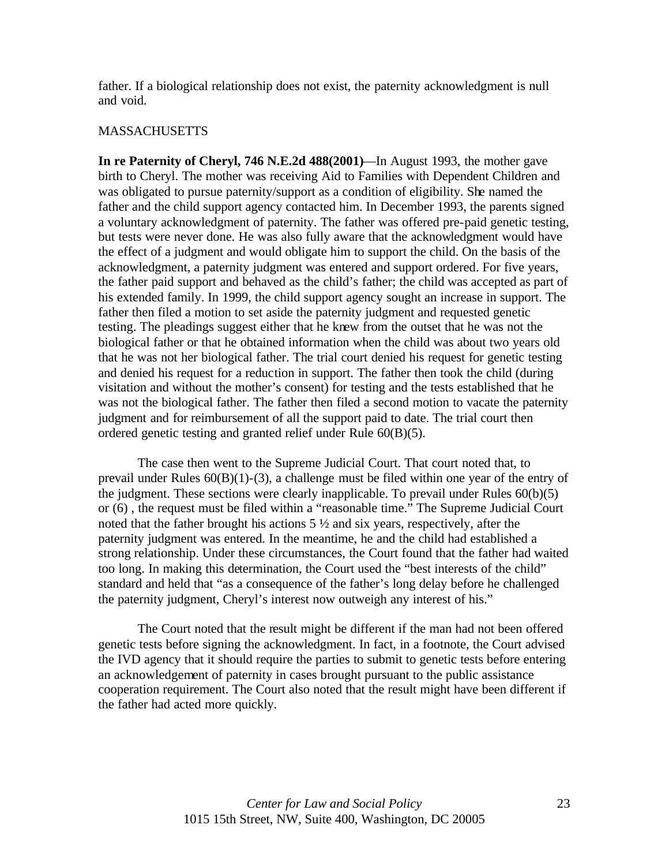father. If a biological relationship does not exist, the paternity acknowledgment is null and void.

#### MASSACHUSETTS

**In re Paternity of Cheryl, 746 N.E.2d 488(2001)**—In August 1993, the mother gave birth to Cheryl. The mother was receiving Aid to Families with Dependent Children and was obligated to pursue paternity/support as a condition of eligibility. She named the father and the child support agency contacted him. In December 1993, the parents signed a voluntary acknowledgment of paternity. The father was offered pre-paid genetic testing, but tests were never done. He was also fully aware that the acknowledgment would have the effect of a judgment and would obligate him to support the child. On the basis of the acknowledgment, a paternity judgment was entered and support ordered. For five years, the father paid support and behaved as the child's father; the child was accepted as part of his extended family. In 1999, the child support agency sought an increase in support. The father then filed a motion to set aside the paternity judgment and requested genetic testing. The pleadings suggest either that he knew from the outset that he was not the biological father or that he obtained information when the child was about two years old that he was not her biological father. The trial court denied his request for genetic testing and denied his request for a reduction in support. The father then took the child (during visitation and without the mother's consent) for testing and the tests established that he was not the biological father. The father then filed a second motion to vacate the paternity judgment and for reimbursement of all the support paid to date. The trial court then ordered genetic testing and granted relief under Rule 60(B)(5).

The case then went to the Supreme Judicial Court. That court noted that, to prevail under Rules 60(B)(1)-(3), a challenge must be filed within one year of the entry of the judgment. These sections were clearly inapplicable. To prevail under Rules 60(b)(5) or (6) , the request must be filed within a "reasonable time." The Supreme Judicial Court noted that the father brought his actions  $5\frac{1}{2}$  and six years, respectively, after the paternity judgment was entered. In the meantime, he and the child had established a strong relationship. Under these circumstances, the Court found that the father had waited too long. In making this determination, the Court used the "best interests of the child" standard and held that "as a consequence of the father's long delay before he challenged the paternity judgment, Cheryl's interest now outweigh any interest of his."

The Court noted that the result might be different if the man had not been offered genetic tests before signing the acknowledgment. In fact, in a footnote, the Court advised the IVD agency that it should require the parties to submit to genetic tests before entering an acknowledgement of paternity in cases brought pursuant to the public assistance cooperation requirement. The Court also noted that the result might have been different if the father had acted more quickly.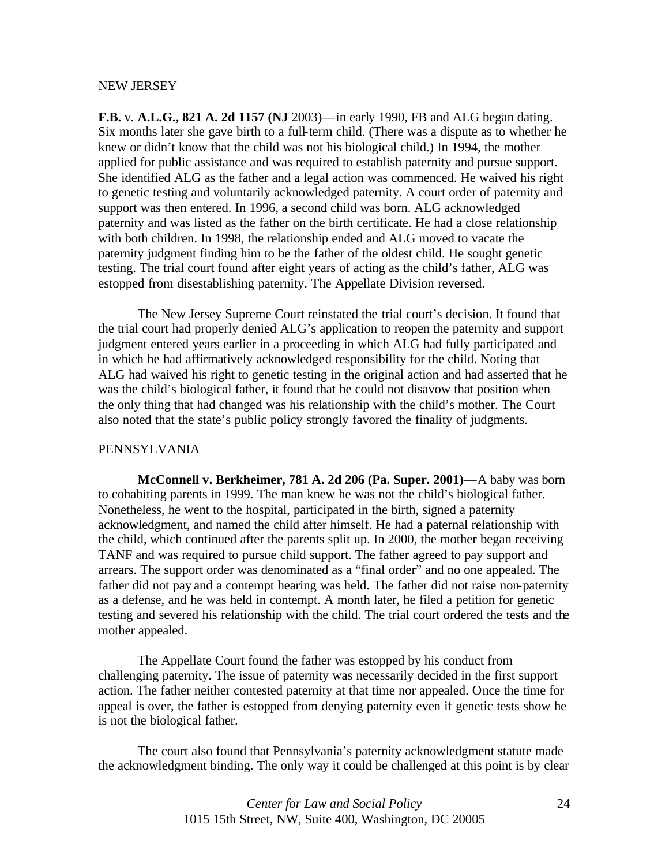#### NEW JERSEY

**F.B.** v. **A.L.G., 821 A. 2d 1157 (NJ** 2003)—in early 1990, FB and ALG began dating. Six months later she gave birth to a full-term child. (There was a dispute as to whether he knew or didn't know that the child was not his biological child.) In 1994, the mother applied for public assistance and was required to establish paternity and pursue support. She identified ALG as the father and a legal action was commenced. He waived his right to genetic testing and voluntarily acknowledged paternity. A court order of paternity and support was then entered. In 1996, a second child was born. ALG acknowledged paternity and was listed as the father on the birth certificate. He had a close relationship with both children. In 1998, the relationship ended and ALG moved to vacate the paternity judgment finding him to be the father of the oldest child. He sought genetic testing. The trial court found after eight years of acting as the child's father, ALG was estopped from disestablishing paternity. The Appellate Division reversed.

The New Jersey Supreme Court reinstated the trial court's decision. It found that the trial court had properly denied ALG's application to reopen the paternity and support judgment entered years earlier in a proceeding in which ALG had fully participated and in which he had affirmatively acknowledged responsibility for the child. Noting that ALG had waived his right to genetic testing in the original action and had asserted that he was the child's biological father, it found that he could not disavow that position when the only thing that had changed was his relationship with the child's mother. The Court also noted that the state's public policy strongly favored the finality of judgments.

#### PENNSYLVANIA

**McConnell v. Berkheimer, 781 A. 2d 206 (Pa. Super. 2001)**—A baby was born to cohabiting parents in 1999. The man knew he was not the child's biological father. Nonetheless, he went to the hospital, participated in the birth, signed a paternity acknowledgment, and named the child after himself. He had a paternal relationship with the child, which continued after the parents split up. In 2000, the mother began receiving TANF and was required to pursue child support. The father agreed to pay support and arrears. The support order was denominated as a "final order" and no one appealed. The father did not pay and a contempt hearing was held. The father did not raise non-paternity as a defense, and he was held in contempt. A month later, he filed a petition for genetic testing and severed his relationship with the child. The trial court ordered the tests and the mother appealed.

The Appellate Court found the father was estopped by his conduct from challenging paternity. The issue of paternity was necessarily decided in the first support action. The father neither contested paternity at that time nor appealed. Once the time for appeal is over, the father is estopped from denying paternity even if genetic tests show he is not the biological father.

The court also found that Pennsylvania's paternity acknowledgment statute made the acknowledgment binding. The only way it could be challenged at this point is by clear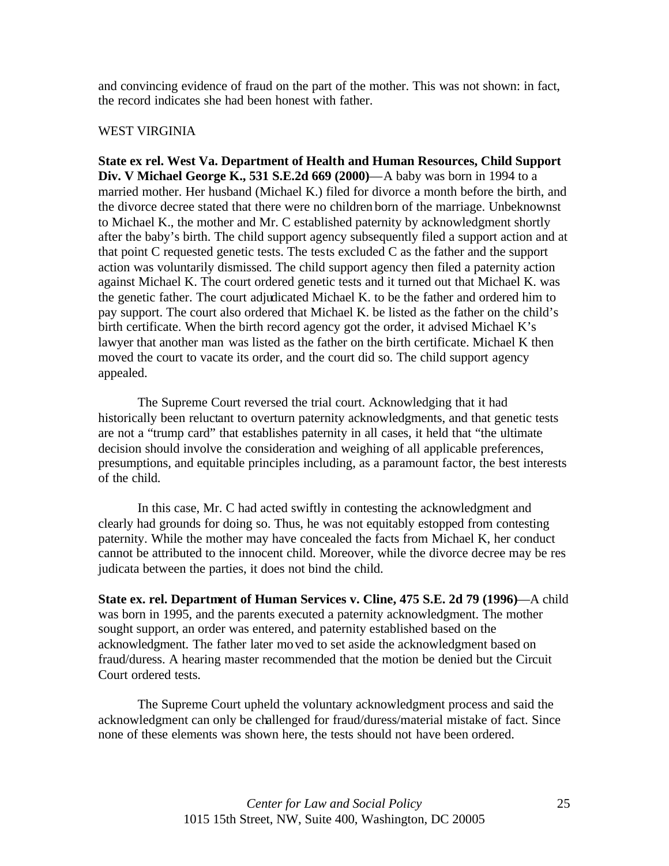and convincing evidence of fraud on the part of the mother. This was not shown: in fact, the record indicates she had been honest with father.

#### WEST VIRGINIA

**State ex rel. West Va. Department of Health and Human Resources, Child Support Div. V Michael George K., 531 S.E.2d 669 (2000)**—A baby was born in 1994 to a married mother. Her husband (Michael K.) filed for divorce a month before the birth, and the divorce decree stated that there were no children born of the marriage. Unbeknownst to Michael K., the mother and Mr. C established paternity by acknowledgment shortly after the baby's birth. The child support agency subsequently filed a support action and at that point C requested genetic tests. The tests excluded C as the father and the support action was voluntarily dismissed. The child support agency then filed a paternity action against Michael K. The court ordered genetic tests and it turned out that Michael K. was the genetic father. The court adjudicated Michael K. to be the father and ordered him to pay support. The court also ordered that Michael K. be listed as the father on the child's birth certificate. When the birth record agency got the order, it advised Michael K's lawyer that another man was listed as the father on the birth certificate. Michael K then moved the court to vacate its order, and the court did so. The child support agency appealed.

The Supreme Court reversed the trial court. Acknowledging that it had historically been reluctant to overturn paternity acknowledgments, and that genetic tests are not a "trump card" that establishes paternity in all cases, it held that "the ultimate decision should involve the consideration and weighing of all applicable preferences, presumptions, and equitable principles including, as a paramount factor, the best interests of the child.

In this case, Mr. C had acted swiftly in contesting the acknowledgment and clearly had grounds for doing so. Thus, he was not equitably estopped from contesting paternity. While the mother may have concealed the facts from Michael K, her conduct cannot be attributed to the innocent child. Moreover, while the divorce decree may be res judicata between the parties, it does not bind the child.

**State ex. rel. Department of Human Services v. Cline, 475 S.E. 2d 79 (1996)**—A child was born in 1995, and the parents executed a paternity acknowledgment. The mother sought support, an order was entered, and paternity established based on the acknowledgment. The father later moved to set aside the acknowledgment based on fraud/duress. A hearing master recommended that the motion be denied but the Circuit Court ordered tests.

The Supreme Court upheld the voluntary acknowledgment process and said the acknowledgment can only be challenged for fraud/duress/material mistake of fact. Since none of these elements was shown here, the tests should not have been ordered.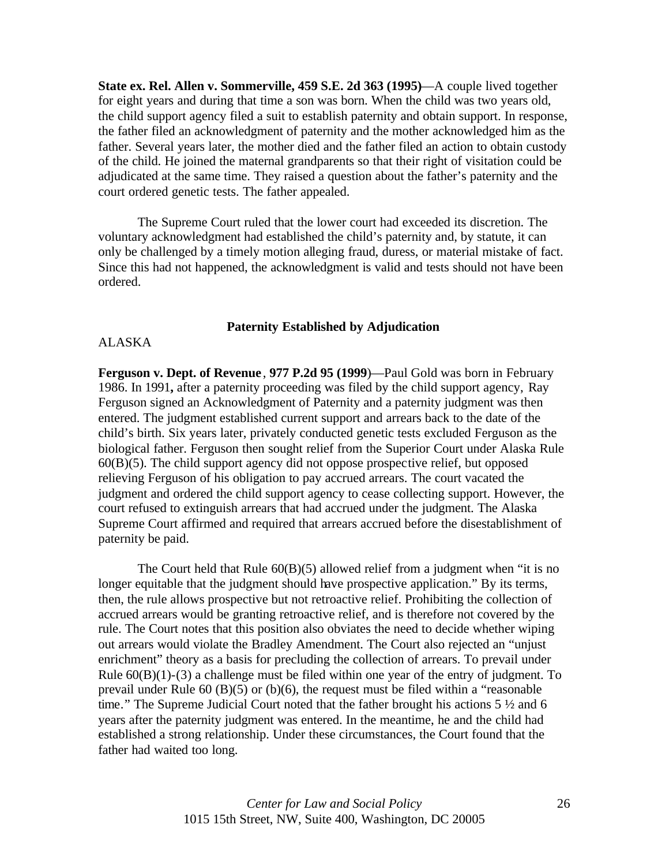**State ex. Rel. Allen v. Sommerville, 459 S.E. 2d 363 (1995)**—A couple lived together for eight years and during that time a son was born. When the child was two years old, the child support agency filed a suit to establish paternity and obtain support. In response, the father filed an acknowledgment of paternity and the mother acknowledged him as the father. Several years later, the mother died and the father filed an action to obtain custody of the child. He joined the maternal grandparents so that their right of visitation could be adjudicated at the same time. They raised a question about the father's paternity and the court ordered genetic tests. The father appealed.

The Supreme Court ruled that the lower court had exceeded its discretion. The voluntary acknowledgment had established the child's paternity and, by statute, it can only be challenged by a timely motion alleging fraud, duress, or material mistake of fact. Since this had not happened, the acknowledgment is valid and tests should not have been ordered.

#### **Paternity Established by Adjudication**

ALASKA

**Ferguson v. Dept. of Revenue** , **977 P.2d 95 (1999**)—Paul Gold was born in February 1986. In 1991**,** after a paternity proceeding was filed by the child support agency, Ray Ferguson signed an Acknowledgment of Paternity and a paternity judgment was then entered. The judgment established current support and arrears back to the date of the child's birth. Six years later, privately conducted genetic tests excluded Ferguson as the biological father. Ferguson then sought relief from the Superior Court under Alaska Rule 60(B)(5). The child support agency did not oppose prospective relief, but opposed relieving Ferguson of his obligation to pay accrued arrears. The court vacated the judgment and ordered the child support agency to cease collecting support. However, the court refused to extinguish arrears that had accrued under the judgment. The Alaska Supreme Court affirmed and required that arrears accrued before the disestablishment of paternity be paid.

The Court held that Rule  $60(B)(5)$  allowed relief from a judgment when "it is no longer equitable that the judgment should have prospective application." By its terms, then, the rule allows prospective but not retroactive relief. Prohibiting the collection of accrued arrears would be granting retroactive relief, and is therefore not covered by the rule. The Court notes that this position also obviates the need to decide whether wiping out arrears would violate the Bradley Amendment. The Court also rejected an "unjust enrichment" theory as a basis for precluding the collection of arrears. To prevail under Rule 60(B)(1)-(3) a challenge must be filed within one year of the entry of judgment. To prevail under Rule  $60$  (B)(5) or (b)(6), the request must be filed within a "reasonable time." The Supreme Judicial Court noted that the father brought his actions 5  $\frac{1}{2}$  and 6 years after the paternity judgment was entered. In the meantime, he and the child had established a strong relationship. Under these circumstances, the Court found that the father had waited too long.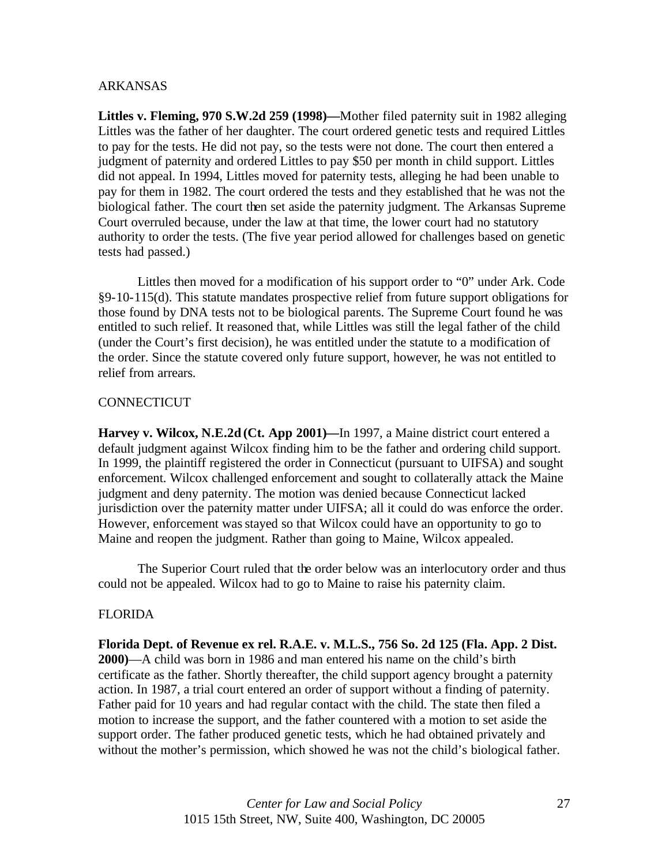#### ARKANSAS

**Littles v. Fleming, 970 S.W.2d 259 (1998)—**Mother filed paternity suit in 1982 alleging Littles was the father of her daughter. The court ordered genetic tests and required Littles to pay for the tests. He did not pay, so the tests were not done. The court then entered a judgment of paternity and ordered Littles to pay \$50 per month in child support. Littles did not appeal. In 1994, Littles moved for paternity tests, alleging he had been unable to pay for them in 1982. The court ordered the tests and they established that he was not the biological father. The court then set aside the paternity judgment. The Arkansas Supreme Court overruled because, under the law at that time, the lower court had no statutory authority to order the tests. (The five year period allowed for challenges based on genetic tests had passed.)

Littles then moved for a modification of his support order to "0" under Ark. Code §9-10-115(d). This statute mandates prospective relief from future support obligations for those found by DNA tests not to be biological parents. The Supreme Court found he was entitled to such relief. It reasoned that, while Littles was still the legal father of the child (under the Court's first decision), he was entitled under the statute to a modification of the order. Since the statute covered only future support, however, he was not entitled to relief from arrears.

## **CONNECTICUT**

**Harvey v. Wilcox, N.E.2d (Ct. App 2001)—**In 1997, a Maine district court entered a default judgment against Wilcox finding him to be the father and ordering child support. In 1999, the plaintiff registered the order in Connecticut (pursuant to UIFSA) and sought enforcement. Wilcox challenged enforcement and sought to collaterally attack the Maine judgment and deny paternity. The motion was denied because Connecticut lacked jurisdiction over the paternity matter under UIFSA; all it could do was enforce the order. However, enforcement wasstayed so that Wilcox could have an opportunity to go to Maine and reopen the judgment. Rather than going to Maine, Wilcox appealed.

The Superior Court ruled that the order below was an interlocutory order and thus could not be appealed. Wilcox had to go to Maine to raise his paternity claim.

#### FLORIDA

**Florida Dept. of Revenue ex rel. R.A.E. v. M.L.S., 756 So. 2d 125 (Fla. App. 2 Dist. 2000)**—A child was born in 1986 and man entered his name on the child's birth certificate as the father. Shortly thereafter, the child support agency brought a paternity action. In 1987, a trial court entered an order of support without a finding of paternity. Father paid for 10 years and had regular contact with the child. The state then filed a motion to increase the support, and the father countered with a motion to set aside the support order. The father produced genetic tests, which he had obtained privately and without the mother's permission, which showed he was not the child's biological father.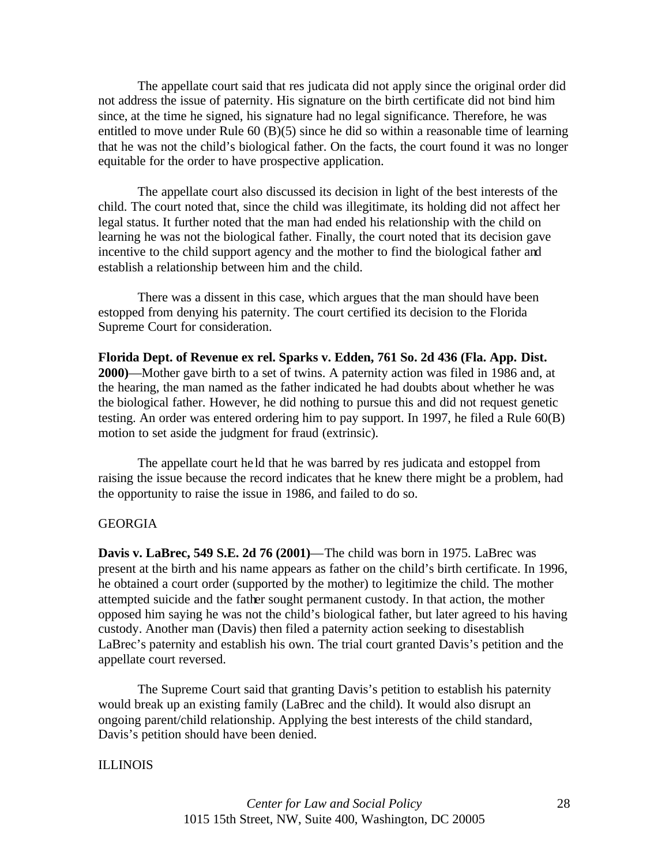The appellate court said that res judicata did not apply since the original order did not address the issue of paternity. His signature on the birth certificate did not bind him since, at the time he signed, his signature had no legal significance. Therefore, he was entitled to move under Rule 60 (B)(5) since he did so within a reasonable time of learning that he was not the child's biological father. On the facts, the court found it was no longer equitable for the order to have prospective application.

The appellate court also discussed its decision in light of the best interests of the child. The court noted that, since the child was illegitimate, its holding did not affect her legal status. It further noted that the man had ended his relationship with the child on learning he was not the biological father. Finally, the court noted that its decision gave incentive to the child support agency and the mother to find the biological father and establish a relationship between him and the child.

There was a dissent in this case, which argues that the man should have been estopped from denying his paternity. The court certified its decision to the Florida Supreme Court for consideration.

**Florida Dept. of Revenue ex rel. Sparks v. Edden, 761 So. 2d 436 (Fla. App. Dist. 2000)**—Mother gave birth to a set of twins. A paternity action was filed in 1986 and, at the hearing, the man named as the father indicated he had doubts about whether he was the biological father. However, he did nothing to pursue this and did not request genetic testing. An order was entered ordering him to pay support. In 1997, he filed a Rule 60(B) motion to set aside the judgment for fraud (extrinsic).

The appellate court he ld that he was barred by res judicata and estoppel from raising the issue because the record indicates that he knew there might be a problem, had the opportunity to raise the issue in 1986, and failed to do so.

## **GEORGIA**

**Davis v. LaBrec, 549 S.E. 2d 76 (2001)**—The child was born in 1975. LaBrec was present at the birth and his name appears as father on the child's birth certificate. In 1996, he obtained a court order (supported by the mother) to legitimize the child. The mother attempted suicide and the father sought permanent custody. In that action, the mother opposed him saying he was not the child's biological father, but later agreed to his having custody. Another man (Davis) then filed a paternity action seeking to disestablish LaBrec's paternity and establish his own. The trial court granted Davis's petition and the appellate court reversed.

The Supreme Court said that granting Davis's petition to establish his paternity would break up an existing family (LaBrec and the child). It would also disrupt an ongoing parent/child relationship. Applying the best interests of the child standard, Davis's petition should have been denied.

#### ILLINOIS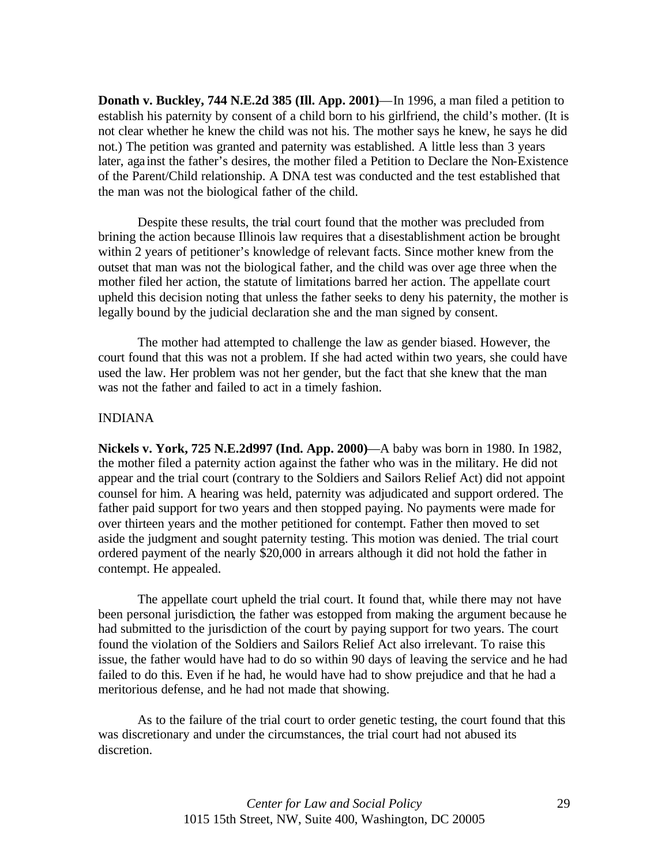**Donath v. Buckley, 744 N.E.2d 385 (Ill. App. 2001)**—In 1996, a man filed a petition to establish his paternity by consent of a child born to his girlfriend, the child's mother. (It is not clear whether he knew the child was not his. The mother says he knew, he says he did not.) The petition was granted and paternity was established. A little less than 3 years later, against the father's desires, the mother filed a Petition to Declare the Non-Existence of the Parent/Child relationship. A DNA test was conducted and the test established that the man was not the biological father of the child.

Despite these results, the trial court found that the mother was precluded from brining the action because Illinois law requires that a disestablishment action be brought within 2 years of petitioner's knowledge of relevant facts. Since mother knew from the outset that man was not the biological father, and the child was over age three when the mother filed her action, the statute of limitations barred her action. The appellate court upheld this decision noting that unless the father seeks to deny his paternity, the mother is legally bound by the judicial declaration she and the man signed by consent.

The mother had attempted to challenge the law as gender biased. However, the court found that this was not a problem. If she had acted within two years, she could have used the law. Her problem was not her gender, but the fact that she knew that the man was not the father and failed to act in a timely fashion.

## INDIANA

**Nickels v. York, 725 N.E.2d997 (Ind. App. 2000)**—A baby was born in 1980. In 1982, the mother filed a paternity action against the father who was in the military. He did not appear and the trial court (contrary to the Soldiers and Sailors Relief Act) did not appoint counsel for him. A hearing was held, paternity was adjudicated and support ordered. The father paid support for two years and then stopped paying. No payments were made for over thirteen years and the mother petitioned for contempt. Father then moved to set aside the judgment and sought paternity testing. This motion was denied. The trial court ordered payment of the nearly \$20,000 in arrears although it did not hold the father in contempt. He appealed.

The appellate court upheld the trial court. It found that, while there may not have been personal jurisdiction, the father was estopped from making the argument because he had submitted to the jurisdiction of the court by paying support for two years. The court found the violation of the Soldiers and Sailors Relief Act also irrelevant. To raise this issue, the father would have had to do so within 90 days of leaving the service and he had failed to do this. Even if he had, he would have had to show prejudice and that he had a meritorious defense, and he had not made that showing.

As to the failure of the trial court to order genetic testing, the court found that this was discretionary and under the circumstances, the trial court had not abused its discretion.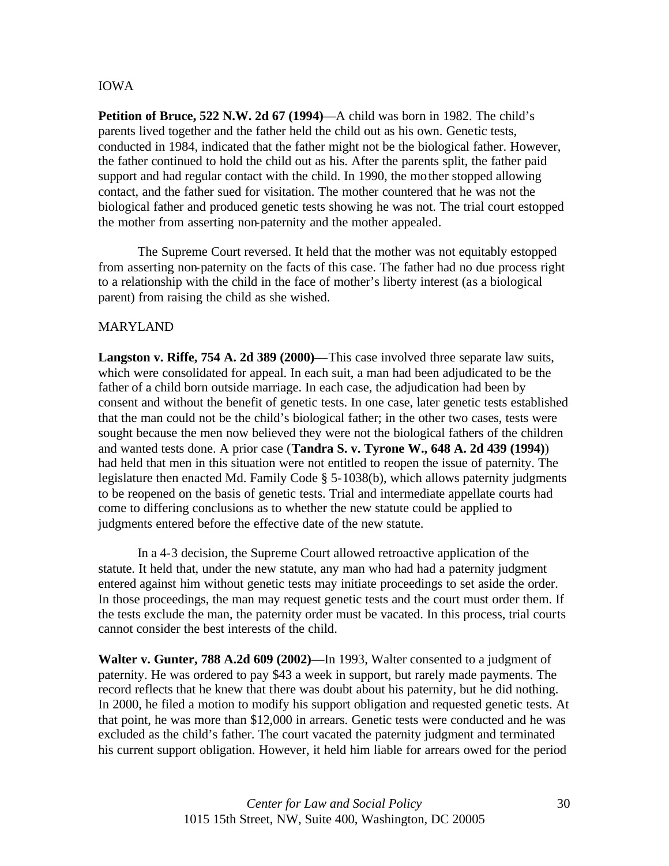## IOWA

**Petition of Bruce, 522 N.W. 2d 67 (1994)**—A child was born in 1982. The child's parents lived together and the father held the child out as his own. Genetic tests, conducted in 1984, indicated that the father might not be the biological father. However, the father continued to hold the child out as his. After the parents split, the father paid support and had regular contact with the child. In 1990, the mother stopped allowing contact, and the father sued for visitation. The mother countered that he was not the biological father and produced genetic tests showing he was not. The trial court estopped the mother from asserting non-paternity and the mother appealed.

The Supreme Court reversed. It held that the mother was not equitably estopped from asserting non-paternity on the facts of this case. The father had no due process right to a relationship with the child in the face of mother's liberty interest (as a biological parent) from raising the child as she wished.

## MARYLAND

**Langston v. Riffe, 754 A. 2d 389 (2000)—**This case involved three separate law suits, which were consolidated for appeal. In each suit, a man had been adjudicated to be the father of a child born outside marriage. In each case, the adjudication had been by consent and without the benefit of genetic tests. In one case, later genetic tests established that the man could not be the child's biological father; in the other two cases, tests were sought because the men now believed they were not the biological fathers of the children and wanted tests done. A prior case (**Tandra S. v. Tyrone W., 648 A. 2d 439 (1994)**) had held that men in this situation were not entitled to reopen the issue of paternity. The legislature then enacted Md. Family Code § 5-1038(b), which allows paternity judgments to be reopened on the basis of genetic tests. Trial and intermediate appellate courts had come to differing conclusions as to whether the new statute could be applied to judgments entered before the effective date of the new statute.

In a 4-3 decision, the Supreme Court allowed retroactive application of the statute. It held that, under the new statute, any man who had had a paternity judgment entered against him without genetic tests may initiate proceedings to set aside the order. In those proceedings, the man may request genetic tests and the court must order them. If the tests exclude the man, the paternity order must be vacated. In this process, trial courts cannot consider the best interests of the child.

**Walter v. Gunter, 788 A.2d 609 (2002)—**In 1993, Walter consented to a judgment of paternity. He was ordered to pay \$43 a week in support, but rarely made payments. The record reflects that he knew that there was doubt about his paternity, but he did nothing. In 2000, he filed a motion to modify his support obligation and requested genetic tests. At that point, he was more than \$12,000 in arrears. Genetic tests were conducted and he was excluded as the child's father. The court vacated the paternity judgment and terminated his current support obligation. However, it held him liable for arrears owed for the period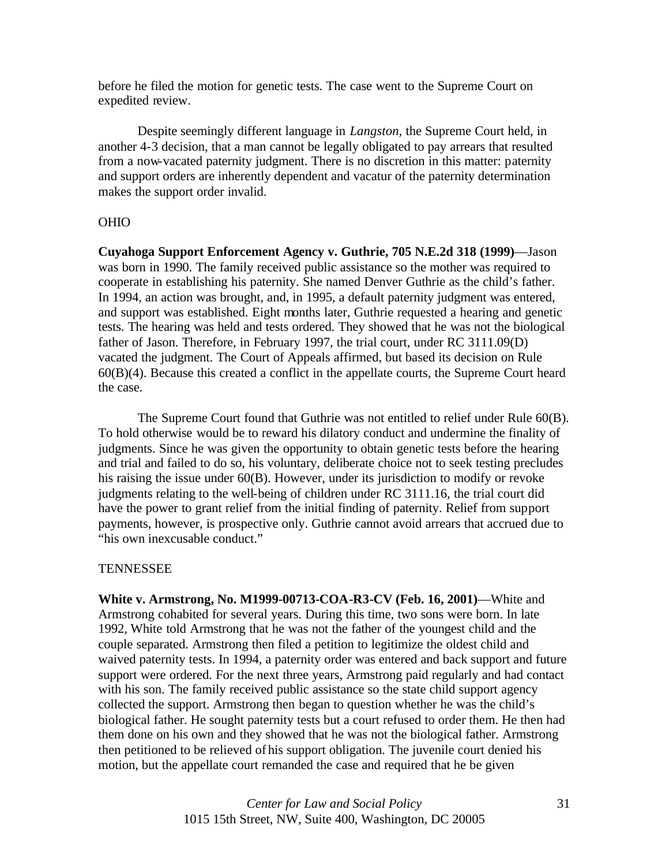before he filed the motion for genetic tests. The case went to the Supreme Court on expedited review.

Despite seemingly different language in *Langston,* the Supreme Court held, in another 4-3 decision, that a man cannot be legally obligated to pay arrears that resulted from a now-vacated paternity judgment. There is no discretion in this matter: paternity and support orders are inherently dependent and vacatur of the paternity determination makes the support order invalid.

## OHIO

**Cuyahoga Support Enforcement Agency v. Guthrie, 705 N.E.2d 318 (1999)**—Jason was born in 1990. The family received public assistance so the mother was required to cooperate in establishing his paternity. She named Denver Guthrie as the child's father. In 1994, an action was brought, and, in 1995, a default paternity judgment was entered, and support was established. Eight months later, Guthrie requested a hearing and genetic tests. The hearing was held and tests ordered. They showed that he was not the biological father of Jason. Therefore, in February 1997, the trial court, under RC 3111.09(D) vacated the judgment. The Court of Appeals affirmed, but based its decision on Rule 60(B)(4). Because this created a conflict in the appellate courts, the Supreme Court heard the case.

The Supreme Court found that Guthrie was not entitled to relief under Rule 60(B). To hold otherwise would be to reward his dilatory conduct and undermine the finality of judgments. Since he was given the opportunity to obtain genetic tests before the hearing and trial and failed to do so, his voluntary, deliberate choice not to seek testing precludes his raising the issue under 60(B). However, under its jurisdiction to modify or revoke judgments relating to the well-being of children under RC 3111.16, the trial court did have the power to grant relief from the initial finding of paternity. Relief from support payments, however, is prospective only. Guthrie cannot avoid arrears that accrued due to "his own inexcusable conduct."

#### TENNESSEE

**White v. Armstrong, No. M1999-00713-COA-R3-CV (Feb. 16, 2001)**—White and Armstrong cohabited for several years. During this time, two sons were born. In late 1992, White told Armstrong that he was not the father of the youngest child and the couple separated. Armstrong then filed a petition to legitimize the oldest child and waived paternity tests. In 1994, a paternity order was entered and back support and future support were ordered. For the next three years, Armstrong paid regularly and had contact with his son. The family received public assistance so the state child support agency collected the support. Armstrong then began to question whether he was the child's biological father. He sought paternity tests but a court refused to order them. He then had them done on his own and they showed that he was not the biological father. Armstrong then petitioned to be relieved of his support obligation. The juvenile court denied his motion, but the appellate court remanded the case and required that he be given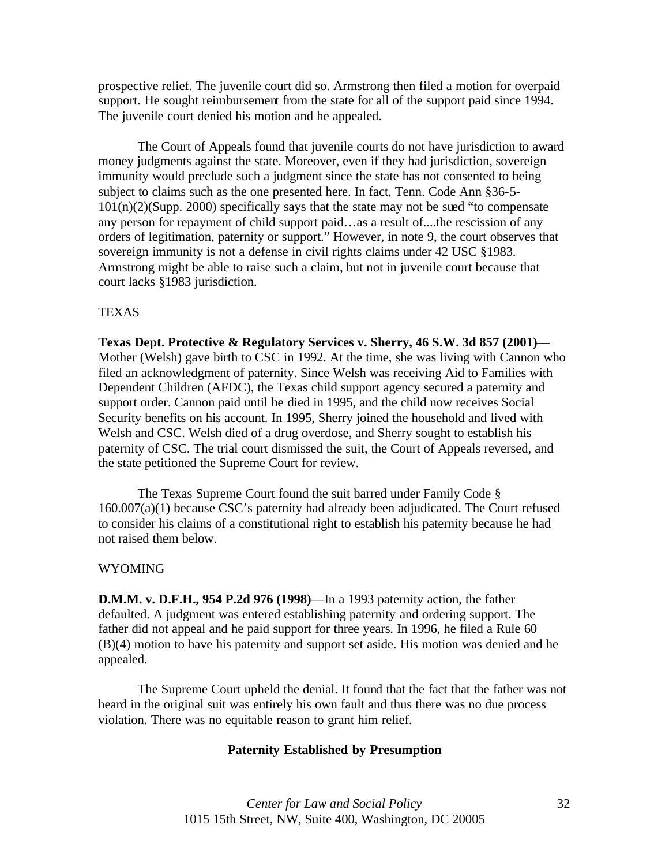prospective relief. The juvenile court did so. Armstrong then filed a motion for overpaid support. He sought reimbursement from the state for all of the support paid since 1994. The juvenile court denied his motion and he appealed.

The Court of Appeals found that juvenile courts do not have jurisdiction to award money judgments against the state. Moreover, even if they had jurisdiction, sovereign immunity would preclude such a judgment since the state has not consented to being subject to claims such as the one presented here. In fact, Tenn. Code Ann §36-5-  $101(n)(2)(\text{Supp. } 2000)$  specifically says that the state may not be sued "to compensate" any person for repayment of child support paid…as a result of....the rescission of any orders of legitimation, paternity or support." However, in note 9, the court observes that sovereign immunity is not a defense in civil rights claims under 42 USC §1983. Armstrong might be able to raise such a claim, but not in juvenile court because that court lacks §1983 jurisdiction.

## **TEXAS**

**Texas Dept. Protective & Regulatory Services v. Sherry, 46 S.W. 3d 857 (2001)**— Mother (Welsh) gave birth to CSC in 1992. At the time, she was living with Cannon who filed an acknowledgment of paternity. Since Welsh was receiving Aid to Families with Dependent Children (AFDC), the Texas child support agency secured a paternity and support order. Cannon paid until he died in 1995, and the child now receives Social Security benefits on his account. In 1995, Sherry joined the household and lived with Welsh and CSC. Welsh died of a drug overdose, and Sherry sought to establish his paternity of CSC. The trial court dismissed the suit, the Court of Appeals reversed, and the state petitioned the Supreme Court for review.

The Texas Supreme Court found the suit barred under Family Code § 160.007(a)(1) because CSC's paternity had already been adjudicated. The Court refused to consider his claims of a constitutional right to establish his paternity because he had not raised them below.

#### WYOMING

**D.M.M. v. D.F.H., 954 P.2d 976 (1998)**—In a 1993 paternity action, the father defaulted. A judgment was entered establishing paternity and ordering support. The father did not appeal and he paid support for three years. In 1996, he filed a Rule 60 (B)(4) motion to have his paternity and support set aside. His motion was denied and he appealed.

The Supreme Court upheld the denial. It found that the fact that the father was not heard in the original suit was entirely his own fault and thus there was no due process violation. There was no equitable reason to grant him relief.

#### **Paternity Established by Presumption**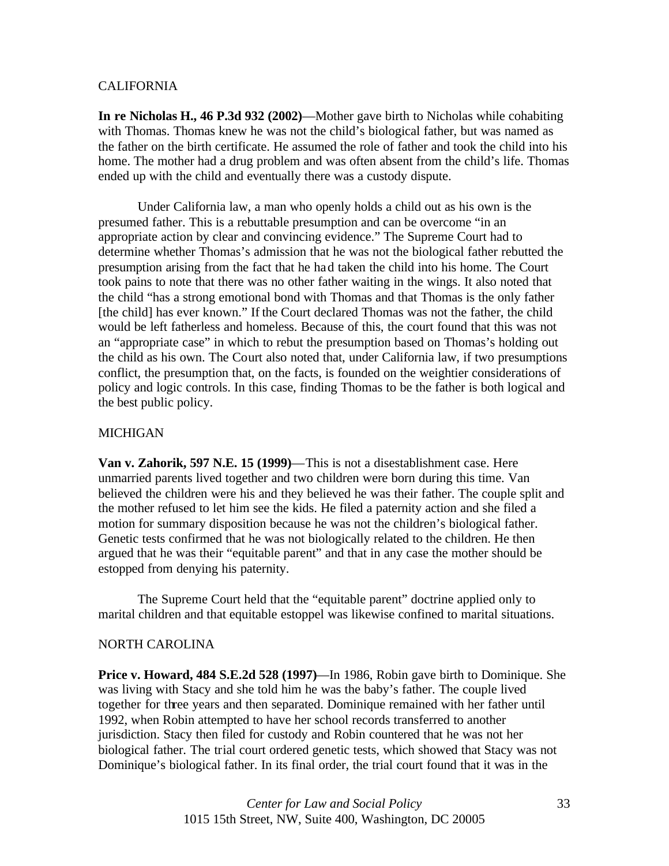#### CALIFORNIA

**In re Nicholas H., 46 P.3d 932 (2002)**—Mother gave birth to Nicholas while cohabiting with Thomas. Thomas knew he was not the child's biological father, but was named as the father on the birth certificate. He assumed the role of father and took the child into his home. The mother had a drug problem and was often absent from the child's life. Thomas ended up with the child and eventually there was a custody dispute.

Under California law, a man who openly holds a child out as his own is the presumed father. This is a rebuttable presumption and can be overcome "in an appropriate action by clear and convincing evidence." The Supreme Court had to determine whether Thomas's admission that he was not the biological father rebutted the presumption arising from the fact that he had taken the child into his home. The Court took pains to note that there was no other father waiting in the wings. It also noted that the child "has a strong emotional bond with Thomas and that Thomas is the only father [the child] has ever known." If the Court declared Thomas was not the father, the child would be left fatherless and homeless. Because of this, the court found that this was not an "appropriate case" in which to rebut the presumption based on Thomas's holding out the child as his own. The Court also noted that, under California law, if two presumptions conflict, the presumption that, on the facts, is founded on the weightier considerations of policy and logic controls. In this case, finding Thomas to be the father is both logical and the best public policy.

## **MICHIGAN**

**Van v. Zahorik, 597 N.E. 15 (1999)**—This is not a disestablishment case. Here unmarried parents lived together and two children were born during this time. Van believed the children were his and they believed he was their father. The couple split and the mother refused to let him see the kids. He filed a paternity action and she filed a motion for summary disposition because he was not the children's biological father. Genetic tests confirmed that he was not biologically related to the children. He then argued that he was their "equitable parent" and that in any case the mother should be estopped from denying his paternity.

The Supreme Court held that the "equitable parent" doctrine applied only to marital children and that equitable estoppel was likewise confined to marital situations.

#### NORTH CAROLINA

**Price v. Howard, 484 S.E.2d 528 (1997)**—In 1986, Robin gave birth to Dominique. She was living with Stacy and she told him he was the baby's father. The couple lived together for three years and then separated. Dominique remained with her father until 1992, when Robin attempted to have her school records transferred to another jurisdiction. Stacy then filed for custody and Robin countered that he was not her biological father. The trial court ordered genetic tests, which showed that Stacy was not Dominique's biological father. In its final order, the trial court found that it was in the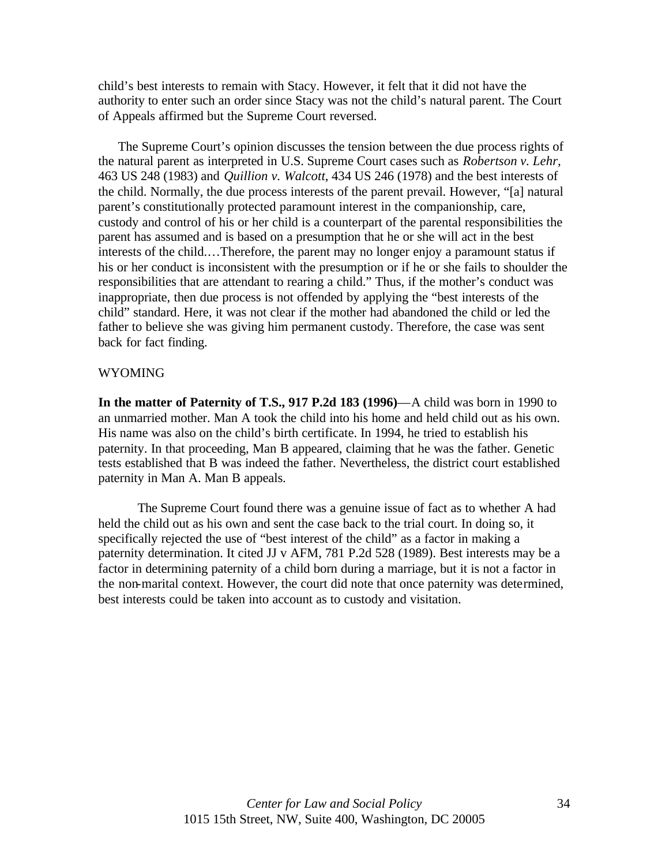child's best interests to remain with Stacy. However, it felt that it did not have the authority to enter such an order since Stacy was not the child's natural parent. The Court of Appeals affirmed but the Supreme Court reversed.

The Supreme Court's opinion discusses the tension between the due process rights of the natural parent as interpreted in U.S. Supreme Court cases such as *Robertson v. Lehr,*  463 US 248 (1983) and *Quillion v. Walcott*, 434 US 246 (1978) and the best interests of the child. Normally, the due process interests of the parent prevail. However, "[a] natural parent's constitutionally protected paramount interest in the companionship, care, custody and control of his or her child is a counterpart of the parental responsibilities the parent has assumed and is based on a presumption that he or she will act in the best interests of the child.…Therefore, the parent may no longer enjoy a paramount status if his or her conduct is inconsistent with the presumption or if he or she fails to shoulder the responsibilities that are attendant to rearing a child." Thus, if the mother's conduct was inappropriate, then due process is not offended by applying the "best interests of the child" standard. Here, it was not clear if the mother had abandoned the child or led the father to believe she was giving him permanent custody. Therefore, the case was sent back for fact finding.

#### WYOMING

**In the matter of Paternity of T.S., 917 P.2d 183 (1996)**—A child was born in 1990 to an unmarried mother. Man A took the child into his home and held child out as his own. His name was also on the child's birth certificate. In 1994, he tried to establish his paternity. In that proceeding, Man B appeared, claiming that he was the father. Genetic tests established that B was indeed the father. Nevertheless, the district court established paternity in Man A. Man B appeals.

The Supreme Court found there was a genuine issue of fact as to whether A had held the child out as his own and sent the case back to the trial court. In doing so, it specifically rejected the use of "best interest of the child" as a factor in making a paternity determination. It cited JJ v AFM, 781 P.2d 528 (1989). Best interests may be a factor in determining paternity of a child born during a marriage, but it is not a factor in the non-marital context. However, the court did note that once paternity was determined, best interests could be taken into account as to custody and visitation.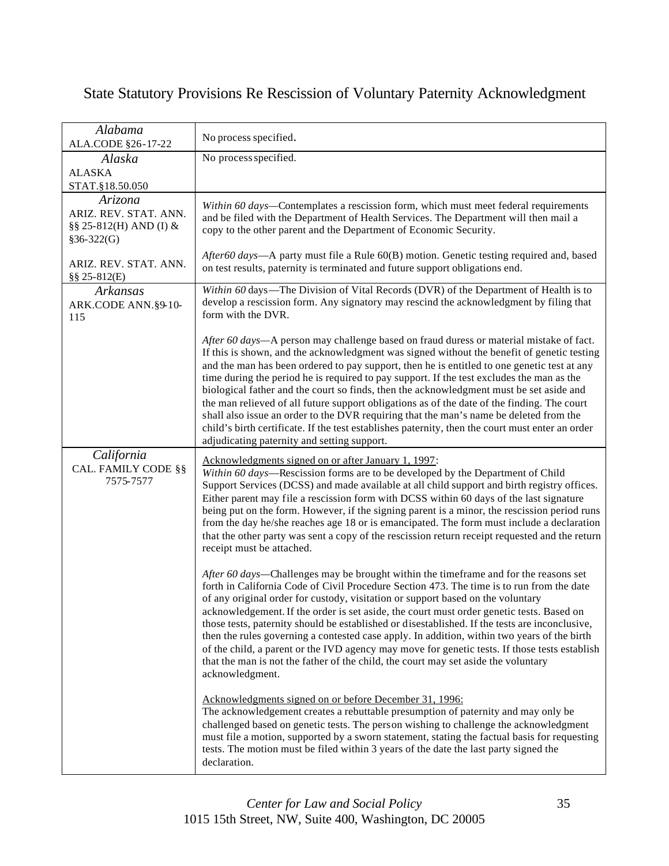# State Statutory Provisions Re Rescission of Voluntary Paternity Acknowledgment

| Alabama<br>ALA.CODE §26-17-22                                                     | No process specified.                                                                                                                                                                                                                                                                                                                                                                                                                                                                                                                                                                                                                                                                                                                                                                                                    |
|-----------------------------------------------------------------------------------|--------------------------------------------------------------------------------------------------------------------------------------------------------------------------------------------------------------------------------------------------------------------------------------------------------------------------------------------------------------------------------------------------------------------------------------------------------------------------------------------------------------------------------------------------------------------------------------------------------------------------------------------------------------------------------------------------------------------------------------------------------------------------------------------------------------------------|
| Alaska                                                                            | No process specified.                                                                                                                                                                                                                                                                                                                                                                                                                                                                                                                                                                                                                                                                                                                                                                                                    |
| <b>ALASKA</b><br>STAT.§18.50.050                                                  |                                                                                                                                                                                                                                                                                                                                                                                                                                                                                                                                                                                                                                                                                                                                                                                                                          |
| <i>Arizona</i><br>ARIZ. REV. STAT. ANN.<br>§§ 25-812(H) AND (I) &<br>$$36-322(G)$ | Within 60 days—Contemplates a rescission form, which must meet federal requirements<br>and be filed with the Department of Health Services. The Department will then mail a<br>copy to the other parent and the Department of Economic Security.                                                                                                                                                                                                                                                                                                                                                                                                                                                                                                                                                                         |
| ARIZ. REV. STAT. ANN.<br>§§ 25-812(E)                                             | After60 days—A party must file a Rule 60(B) motion. Genetic testing required and, based<br>on test results, paternity is terminated and future support obligations end.                                                                                                                                                                                                                                                                                                                                                                                                                                                                                                                                                                                                                                                  |
| Arkansas<br>ARK.CODE ANN.§9-10-<br>115                                            | Within 60 days—The Division of Vital Records (DVR) of the Department of Health is to<br>develop a rescission form. Any signatory may rescind the acknowledgment by filing that<br>form with the DVR.                                                                                                                                                                                                                                                                                                                                                                                                                                                                                                                                                                                                                     |
|                                                                                   | After 60 days—A person may challenge based on fraud duress or material mistake of fact.<br>If this is shown, and the acknowledgment was signed without the benefit of genetic testing<br>and the man has been ordered to pay support, then he is entitled to one genetic test at any<br>time during the period he is required to pay support. If the test excludes the man as the<br>biological father and the court so finds, then the acknowledgment must be set aside and<br>the man relieved of all future support obligations as of the date of the finding. The court<br>shall also issue an order to the DVR requiring that the man's name be deleted from the<br>child's birth certificate. If the test establishes paternity, then the court must enter an order<br>adjudicating paternity and setting support. |
| California<br>CAL. FAMILY CODE §§<br>7575-7577                                    | Acknowledgments signed on or after January 1, 1997:<br>Within 60 days—Rescission forms are to be developed by the Department of Child<br>Support Services (DCSS) and made available at all child support and birth registry offices.<br>Either parent may file a rescission form with DCSS within 60 days of the last signature<br>being put on the form. However, if the signing parent is a minor, the rescission period runs<br>from the day he/she reaches age 18 or is emancipated. The form must include a declaration<br>that the other party was sent a copy of the rescission return receipt requested and the return<br>receipt must be attached.                                                                                                                                                              |
|                                                                                   | After 60 days—Challenges may be brought within the timeframe and for the reasons set<br>forth in California Code of Civil Procedure Section 473. The time is to run from the date<br>of any original order for custody, visitation or support based on the voluntary<br>acknowledgement. If the order is set aside, the court must order genetic tests. Based on<br>those tests, paternity should be established or disestablished. If the tests are inconclusive,<br>then the rules governing a contested case apply. In addition, within two years of the birth<br>of the child, a parent or the IVD agency may move for genetic tests. If those tests establish<br>that the man is not the father of the child, the court may set aside the voluntary<br>acknowledgment.                                              |
|                                                                                   | Acknowledgments signed on or before December 31, 1996:<br>The acknowledgement creates a rebuttable presumption of paternity and may only be<br>challenged based on genetic tests. The person wishing to challenge the acknowledgment<br>must file a motion, supported by a sworn statement, stating the factual basis for requesting<br>tests. The motion must be filed within 3 years of the date the last party signed the<br>declaration.                                                                                                                                                                                                                                                                                                                                                                             |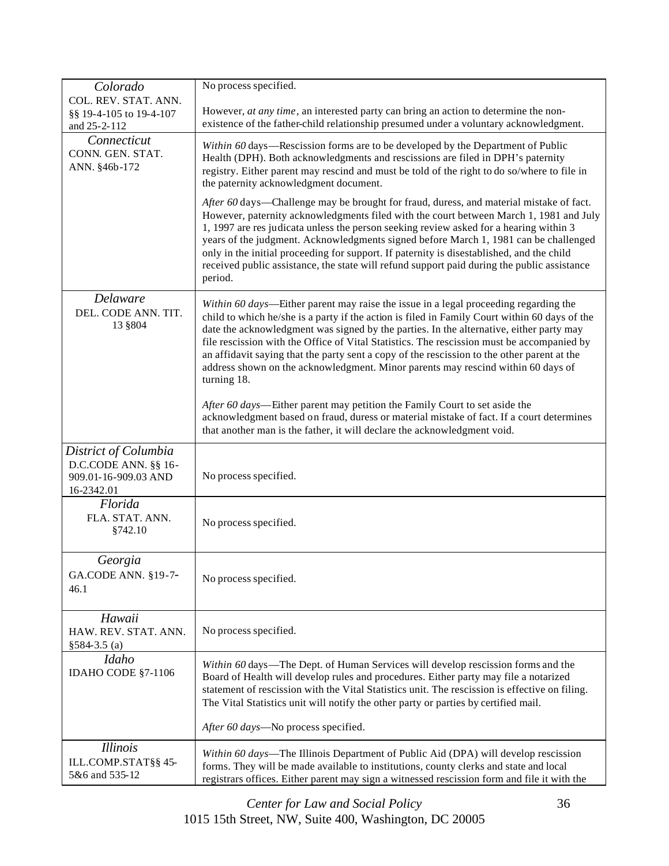| Colorado                                                                           | No process specified.                                                                                                                                                                                                                                                                                                                                                                                                                                                                                                                                                            |
|------------------------------------------------------------------------------------|----------------------------------------------------------------------------------------------------------------------------------------------------------------------------------------------------------------------------------------------------------------------------------------------------------------------------------------------------------------------------------------------------------------------------------------------------------------------------------------------------------------------------------------------------------------------------------|
| COL. REV. STAT. ANN.<br>§§ 19-4-105 to 19-4-107<br>and 25-2-112                    | However, at any time, an interested party can bring an action to determine the non-<br>existence of the father-child relationship presumed under a voluntary acknowledgment.                                                                                                                                                                                                                                                                                                                                                                                                     |
| Connecticut<br>CONN. GEN. STAT.<br>ANN. §46b-172                                   | Within 60 days—Rescission forms are to be developed by the Department of Public<br>Health (DPH). Both acknowledgments and rescissions are filed in DPH's paternity<br>registry. Either parent may rescind and must be told of the right to do so/where to file in<br>the paternity acknowledgment document.                                                                                                                                                                                                                                                                      |
|                                                                                    | After 60 days—Challenge may be brought for fraud, duress, and material mistake of fact.<br>However, paternity acknowledgments filed with the court between March 1, 1981 and July<br>1, 1997 are res judicata unless the person seeking review asked for a hearing within 3<br>years of the judgment. Acknowledgments signed before March 1, 1981 can be challenged<br>only in the initial proceeding for support. If paternity is disestablished, and the child<br>received public assistance, the state will refund support paid during the public assistance<br>period.       |
| Delaware<br>DEL. CODE ANN. TIT.<br>13 §804                                         | Within 60 days—Either parent may raise the issue in a legal proceeding regarding the<br>child to which he/she is a party if the action is filed in Family Court within 60 days of the<br>date the acknowledgment was signed by the parties. In the alternative, either party may<br>file rescission with the Office of Vital Statistics. The rescission must be accompanied by<br>an affidavit saying that the party sent a copy of the rescission to the other parent at the<br>address shown on the acknowledgment. Minor parents may rescind within 60 days of<br>turning 18. |
|                                                                                    | After 60 days—Either parent may petition the Family Court to set aside the<br>acknowledgment based on fraud, duress or material mistake of fact. If a court determines<br>that another man is the father, it will declare the acknowledgment void.                                                                                                                                                                                                                                                                                                                               |
| District of Columbia<br>D.C.CODE ANN. §§ 16-<br>909.01-16-909.03 AND<br>16-2342.01 | No process specified.                                                                                                                                                                                                                                                                                                                                                                                                                                                                                                                                                            |
| Florida<br>FLA. STAT. ANN.<br>§742.10                                              | No process specified.                                                                                                                                                                                                                                                                                                                                                                                                                                                                                                                                                            |
| Georgia<br>GA.CODE ANN. §19-7-<br>46.1                                             | No process specified.                                                                                                                                                                                                                                                                                                                                                                                                                                                                                                                                                            |
| Hawaii<br>HAW. REV. STAT. ANN.<br>$$584-3.5(a)$                                    | No process specified.                                                                                                                                                                                                                                                                                                                                                                                                                                                                                                                                                            |
| <b>Idaho</b><br>IDAHO CODE §7-1106                                                 | Within 60 days—The Dept. of Human Services will develop rescission forms and the<br>Board of Health will develop rules and procedures. Either party may file a notarized<br>statement of rescission with the Vital Statistics unit. The rescission is effective on filing.<br>The Vital Statistics unit will notify the other party or parties by certified mail.                                                                                                                                                                                                                |
|                                                                                    | After 60 days—No process specified.                                                                                                                                                                                                                                                                                                                                                                                                                                                                                                                                              |
| <i>Illinois</i><br>ILL.COMP.STAT§§ 45-<br>5&6 and 535-12                           | Within 60 days—The Illinois Department of Public Aid (DPA) will develop rescission<br>forms. They will be made available to institutions, county clerks and state and local<br>registrars offices. Either parent may sign a witnessed rescission form and file it with the                                                                                                                                                                                                                                                                                                       |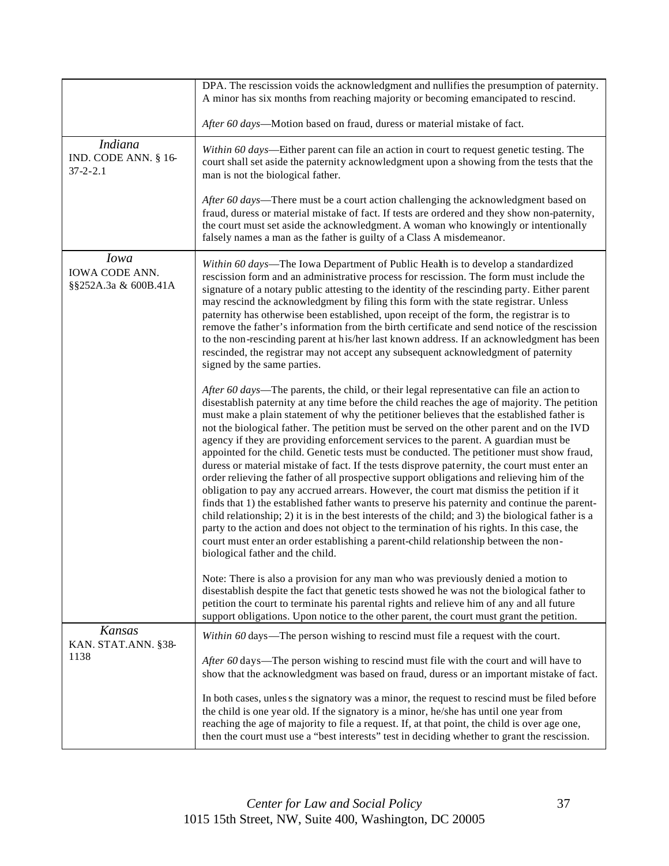|                                                              | DPA. The rescission voids the acknowledgment and nullifies the presumption of paternity.<br>A minor has six months from reaching majority or becoming emancipated to rescind.                                                                                                                                                                                                                                                                                                                                                                                                                                                                                                                                                                                                                                                                                                                                                                                                                                                                                                                                                                                                                                                                                                                       |
|--------------------------------------------------------------|-----------------------------------------------------------------------------------------------------------------------------------------------------------------------------------------------------------------------------------------------------------------------------------------------------------------------------------------------------------------------------------------------------------------------------------------------------------------------------------------------------------------------------------------------------------------------------------------------------------------------------------------------------------------------------------------------------------------------------------------------------------------------------------------------------------------------------------------------------------------------------------------------------------------------------------------------------------------------------------------------------------------------------------------------------------------------------------------------------------------------------------------------------------------------------------------------------------------------------------------------------------------------------------------------------|
|                                                              | After 60 days—Motion based on fraud, duress or material mistake of fact.                                                                                                                                                                                                                                                                                                                                                                                                                                                                                                                                                                                                                                                                                                                                                                                                                                                                                                                                                                                                                                                                                                                                                                                                                            |
| <i>Indiana</i><br>IND. CODE ANN. § 16-<br>$37 - 2 - 2.1$     | Within 60 days—Either parent can file an action in court to request genetic testing. The<br>court shall set aside the paternity acknowledgment upon a showing from the tests that the<br>man is not the biological father.                                                                                                                                                                                                                                                                                                                                                                                                                                                                                                                                                                                                                                                                                                                                                                                                                                                                                                                                                                                                                                                                          |
|                                                              | After 60 days—There must be a court action challenging the acknowledgment based on<br>fraud, duress or material mistake of fact. If tests are ordered and they show non-paternity,<br>the court must set aside the acknowledgment. A woman who knowingly or intentionally<br>falsely names a man as the father is guilty of a Class A misdemeanor.                                                                                                                                                                                                                                                                                                                                                                                                                                                                                                                                                                                                                                                                                                                                                                                                                                                                                                                                                  |
| <i>Iowa</i><br><b>IOWA CODE ANN.</b><br>§§252A.3a & 600B.41A | Within 60 days—The Iowa Department of Public Health is to develop a standardized<br>rescission form and an administrative process for rescission. The form must include the<br>signature of a notary public attesting to the identity of the rescinding party. Either parent<br>may rescind the acknowledgment by filing this form with the state registrar. Unless<br>paternity has otherwise been established, upon receipt of the form, the registrar is to<br>remove the father's information from the birth certificate and send notice of the rescission<br>to the non-rescinding parent at his/her last known address. If an acknowledgment has been<br>rescinded, the registrar may not accept any subsequent acknowledgment of paternity<br>signed by the same parties.                                                                                                                                                                                                                                                                                                                                                                                                                                                                                                                    |
|                                                              | After 60 days—The parents, the child, or their legal representative can file an action to<br>disestablish paternity at any time before the child reaches the age of majority. The petition<br>must make a plain statement of why the petitioner believes that the established father is<br>not the biological father. The petition must be served on the other parent and on the IVD<br>agency if they are providing enforcement services to the parent. A guardian must be<br>appointed for the child. Genetic tests must be conducted. The petitioner must show fraud,<br>duress or material mistake of fact. If the tests disprove paternity, the court must enter an<br>order relieving the father of all prospective support obligations and relieving him of the<br>obligation to pay any accrued arrears. However, the court mat dismiss the petition if it<br>finds that 1) the established father wants to preserve his paternity and continue the parent-<br>child relationship; 2) it is in the best interests of the child; and 3) the biological father is a<br>party to the action and does not object to the termination of his rights. In this case, the<br>court must enter an order establishing a parent-child relationship between the non-<br>biological father and the child. |
|                                                              | Note: There is also a provision for any man who was previously denied a motion to<br>disestablish despite the fact that genetic tests showed he was not the biological father to<br>petition the court to terminate his parental rights and relieve him of any and all future<br>support obligations. Upon notice to the other parent, the court must grant the petition.                                                                                                                                                                                                                                                                                                                                                                                                                                                                                                                                                                                                                                                                                                                                                                                                                                                                                                                           |
| <b>Kansas</b><br>KAN. STAT.ANN. §38-                         | Within 60 days—The person wishing to rescind must file a request with the court.                                                                                                                                                                                                                                                                                                                                                                                                                                                                                                                                                                                                                                                                                                                                                                                                                                                                                                                                                                                                                                                                                                                                                                                                                    |
| 1138                                                         | After 60 days—The person wishing to rescind must file with the court and will have to<br>show that the acknowledgment was based on fraud, duress or an important mistake of fact.                                                                                                                                                                                                                                                                                                                                                                                                                                                                                                                                                                                                                                                                                                                                                                                                                                                                                                                                                                                                                                                                                                                   |
|                                                              | In both cases, unless the signatory was a minor, the request to rescind must be filed before<br>the child is one year old. If the signatory is a minor, he/she has until one year from<br>reaching the age of majority to file a request. If, at that point, the child is over age one,<br>then the court must use a "best interests" test in deciding whether to grant the rescission.                                                                                                                                                                                                                                                                                                                                                                                                                                                                                                                                                                                                                                                                                                                                                                                                                                                                                                             |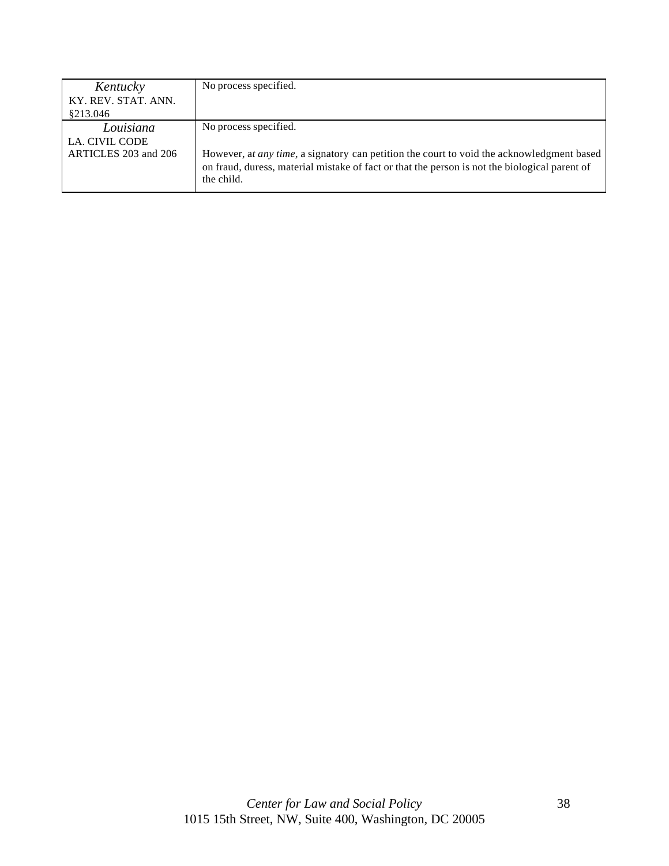| Kentucky              | No process specified.                                                                                                                                                                                    |
|-----------------------|----------------------------------------------------------------------------------------------------------------------------------------------------------------------------------------------------------|
| KY. REV. STAT. ANN.   |                                                                                                                                                                                                          |
| \$213.046             |                                                                                                                                                                                                          |
| Louisiana             | No process specified.                                                                                                                                                                                    |
| <b>LA. CIVIL CODE</b> |                                                                                                                                                                                                          |
| ARTICLES 203 and 206  | However, at any time, a signatory can petition the court to void the acknowledgment based<br>on fraud, duress, material mistake of fact or that the person is not the biological parent of<br>the child. |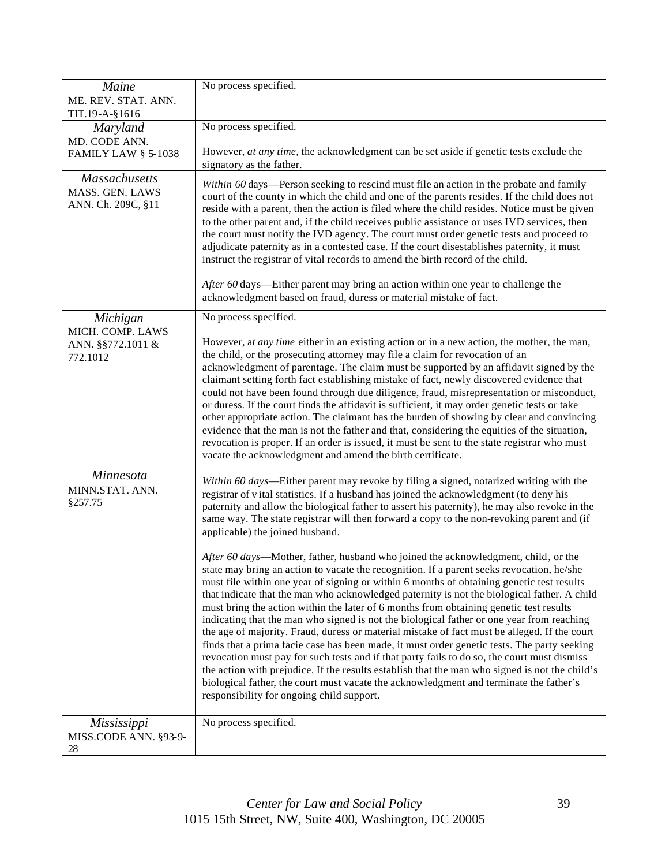| Maine                                             | No process specified.                                                                                                                                                                                                                                                                                                                                                                                                                                                                                                                                                                                                                                                                                                                                                                                                                                                                                                                                                                                                                                                                                     |
|---------------------------------------------------|-----------------------------------------------------------------------------------------------------------------------------------------------------------------------------------------------------------------------------------------------------------------------------------------------------------------------------------------------------------------------------------------------------------------------------------------------------------------------------------------------------------------------------------------------------------------------------------------------------------------------------------------------------------------------------------------------------------------------------------------------------------------------------------------------------------------------------------------------------------------------------------------------------------------------------------------------------------------------------------------------------------------------------------------------------------------------------------------------------------|
| ME. REV. STAT. ANN.                               |                                                                                                                                                                                                                                                                                                                                                                                                                                                                                                                                                                                                                                                                                                                                                                                                                                                                                                                                                                                                                                                                                                           |
| TIT.19-A-§1616                                    |                                                                                                                                                                                                                                                                                                                                                                                                                                                                                                                                                                                                                                                                                                                                                                                                                                                                                                                                                                                                                                                                                                           |
| Maryland                                          | No process specified.                                                                                                                                                                                                                                                                                                                                                                                                                                                                                                                                                                                                                                                                                                                                                                                                                                                                                                                                                                                                                                                                                     |
| MD. CODE ANN.                                     |                                                                                                                                                                                                                                                                                                                                                                                                                                                                                                                                                                                                                                                                                                                                                                                                                                                                                                                                                                                                                                                                                                           |
| <b>FAMILY LAW § 5-1038</b>                        | However, at any time, the acknowledgment can be set aside if genetic tests exclude the                                                                                                                                                                                                                                                                                                                                                                                                                                                                                                                                                                                                                                                                                                                                                                                                                                                                                                                                                                                                                    |
| <b>Massachusetts</b>                              | signatory as the father.                                                                                                                                                                                                                                                                                                                                                                                                                                                                                                                                                                                                                                                                                                                                                                                                                                                                                                                                                                                                                                                                                  |
| MASS. GEN. LAWS<br>ANN. Ch. 209C, §11             | Within 60 days—Person seeking to rescind must file an action in the probate and family<br>court of the county in which the child and one of the parents resides. If the child does not<br>reside with a parent, then the action is filed where the child resides. Notice must be given<br>to the other parent and, if the child receives public assistance or uses IVD services, then<br>the court must notify the IVD agency. The court must order genetic tests and proceed to<br>adjudicate paternity as in a contested case. If the court disestablishes paternity, it must<br>instruct the registrar of vital records to amend the birth record of the child.<br>After 60 days—Either parent may bring an action within one year to challenge the                                                                                                                                                                                                                                                                                                                                                    |
|                                                   | acknowledgment based on fraud, duress or material mistake of fact.                                                                                                                                                                                                                                                                                                                                                                                                                                                                                                                                                                                                                                                                                                                                                                                                                                                                                                                                                                                                                                        |
| Michigan<br>MICH. COMP. LAWS                      | No process specified.                                                                                                                                                                                                                                                                                                                                                                                                                                                                                                                                                                                                                                                                                                                                                                                                                                                                                                                                                                                                                                                                                     |
| ANN. §§772.1011 &<br>772.1012                     | However, at any time either in an existing action or in a new action, the mother, the man,<br>the child, or the prosecuting attorney may file a claim for revocation of an<br>acknowledgment of parentage. The claim must be supported by an affidavit signed by the<br>claimant setting forth fact establishing mistake of fact, newly discovered evidence that<br>could not have been found through due diligence, fraud, misrepresentation or misconduct,<br>or duress. If the court finds the affidavit is sufficient, it may order genetic tests or take<br>other appropriate action. The claimant has the burden of showing by clear and convincing<br>evidence that the man is not the father and that, considering the equities of the situation,<br>revocation is proper. If an order is issued, it must be sent to the state registrar who must<br>vacate the acknowledgment and amend the birth certificate.                                                                                                                                                                                   |
| Minnesota<br>MINN.STAT. ANN.<br>§257.75           | Within 60 days—Either parent may revoke by filing a signed, notarized writing with the<br>registrar of vital statistics. If a husband has joined the acknowledgment (to deny his<br>paternity and allow the biological father to assert his paternity), he may also revoke in the<br>same way. The state registrar will then forward a copy to the non-revoking parent and (if<br>applicable) the joined husband.                                                                                                                                                                                                                                                                                                                                                                                                                                                                                                                                                                                                                                                                                         |
|                                                   | After 60 days—Mother, father, husband who joined the acknowledgment, child, or the<br>state may bring an action to vacate the recognition. If a parent seeks revocation, he/she<br>must file within one year of signing or within 6 months of obtaining genetic test results<br>that indicate that the man who acknowledged paternity is not the biological father. A child<br>must bring the action within the later of 6 months from obtaining genetic test results<br>indicating that the man who signed is not the biological father or one year from reaching<br>the age of majority. Fraud, duress or material mistake of fact must be alleged. If the court<br>finds that a prima facie case has been made, it must order genetic tests. The party seeking<br>revocation must pay for such tests and if that party fails to do so, the court must dismiss<br>the action with prejudice. If the results establish that the man who signed is not the child's<br>biological father, the court must vacate the acknowledgment and terminate the father's<br>responsibility for ongoing child support. |
| <i>Mississippi</i><br>MISS.CODE ANN. §93-9-<br>28 | No process specified.                                                                                                                                                                                                                                                                                                                                                                                                                                                                                                                                                                                                                                                                                                                                                                                                                                                                                                                                                                                                                                                                                     |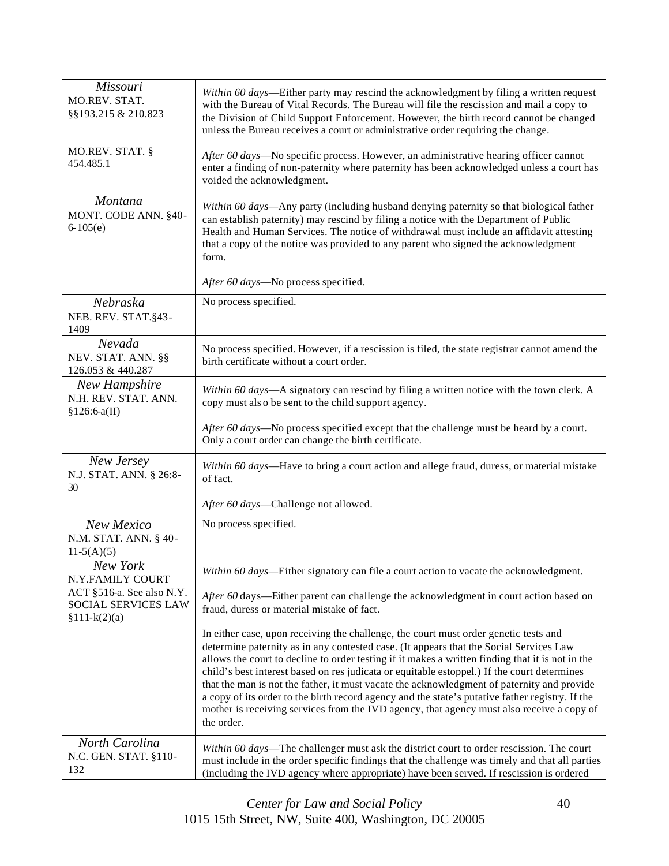| Missouri<br>MO.REV. STAT.<br>§§193.215 & 210.823                   | Within 60 days—Either party may rescind the acknowledgment by filing a written request<br>with the Bureau of Vital Records. The Bureau will file the rescission and mail a copy to<br>the Division of Child Support Enforcement. However, the birth record cannot be changed<br>unless the Bureau receives a court or administrative order requiring the change.                                                                                                                                                                                                                                                                                                                              |
|--------------------------------------------------------------------|-----------------------------------------------------------------------------------------------------------------------------------------------------------------------------------------------------------------------------------------------------------------------------------------------------------------------------------------------------------------------------------------------------------------------------------------------------------------------------------------------------------------------------------------------------------------------------------------------------------------------------------------------------------------------------------------------|
| MO.REV. STAT. §<br>454.485.1                                       | After 60 days—No specific process. However, an administrative hearing officer cannot<br>enter a finding of non-paternity where paternity has been acknowledged unless a court has<br>voided the acknowledgment.                                                                                                                                                                                                                                                                                                                                                                                                                                                                               |
| Montana<br>MONT. CODE ANN. §40-<br>$6-105(e)$                      | Within 60 days—Any party (including husband denying paternity so that biological father<br>can establish paternity) may rescind by filing a notice with the Department of Public<br>Health and Human Services. The notice of withdrawal must include an affidavit attesting<br>that a copy of the notice was provided to any parent who signed the acknowledgment<br>form.                                                                                                                                                                                                                                                                                                                    |
|                                                                    | After 60 days—No process specified.                                                                                                                                                                                                                                                                                                                                                                                                                                                                                                                                                                                                                                                           |
| Nebraska<br>NEB. REV. STAT.§43-<br>1409                            | No process specified.                                                                                                                                                                                                                                                                                                                                                                                                                                                                                                                                                                                                                                                                         |
| Nevada<br>NEV. STAT. ANN. §§<br>126.053 & 440.287                  | No process specified. However, if a rescission is filed, the state registrar cannot amend the<br>birth certificate without a court order.                                                                                                                                                                                                                                                                                                                                                                                                                                                                                                                                                     |
| <b>New Hampshire</b><br>N.H. REV. STAT. ANN.<br>$$126:6-a(II)$     | Within 60 days—A signatory can rescind by filing a written notice with the town clerk. A<br>copy must also be sent to the child support agency.                                                                                                                                                                                                                                                                                                                                                                                                                                                                                                                                               |
|                                                                    | After 60 days—No process specified except that the challenge must be heard by a court.<br>Only a court order can change the birth certificate.                                                                                                                                                                                                                                                                                                                                                                                                                                                                                                                                                |
| New Jersey<br>N.J. STAT. ANN. § 26:8-<br>30                        | Within 60 days—Have to bring a court action and allege fraud, duress, or material mistake<br>of fact.                                                                                                                                                                                                                                                                                                                                                                                                                                                                                                                                                                                         |
|                                                                    | After 60 days—Challenge not allowed.                                                                                                                                                                                                                                                                                                                                                                                                                                                                                                                                                                                                                                                          |
| New Mexico<br>N.M. STAT. ANN. § 40-<br>$11-5(A)(5)$                | No process specified.                                                                                                                                                                                                                                                                                                                                                                                                                                                                                                                                                                                                                                                                         |
| New York<br>N.Y.FAMILY COURT                                       | Within 60 days—Either signatory can file a court action to vacate the acknowledgment.                                                                                                                                                                                                                                                                                                                                                                                                                                                                                                                                                                                                         |
| ACT §516-a. See also N.Y.<br>SOCIAL SERVICES LAW<br>$$111-k(2)(a)$ | After 60 days—Either parent can challenge the acknowledgment in court action based on<br>fraud, duress or material mistake of fact.                                                                                                                                                                                                                                                                                                                                                                                                                                                                                                                                                           |
|                                                                    | In either case, upon receiving the challenge, the court must order genetic tests and<br>determine paternity as in any contested case. (It appears that the Social Services Law<br>allows the court to decline to order testing if it makes a written finding that it is not in the<br>child's best interest based on res judicata or equitable estoppel.) If the court determines<br>that the man is not the father, it must vacate the acknowledgment of paternity and provide<br>a copy of its order to the birth record agency and the state's putative father registry. If the<br>mother is receiving services from the IVD agency, that agency must also receive a copy of<br>the order. |
| North Carolina<br>N.C. GEN. STAT. §110-<br>132                     | Within 60 days—The challenger must ask the district court to order rescission. The court<br>must include in the order specific findings that the challenge was timely and that all parties<br>(including the IVD agency where appropriate) have been served. If rescission is ordered                                                                                                                                                                                                                                                                                                                                                                                                         |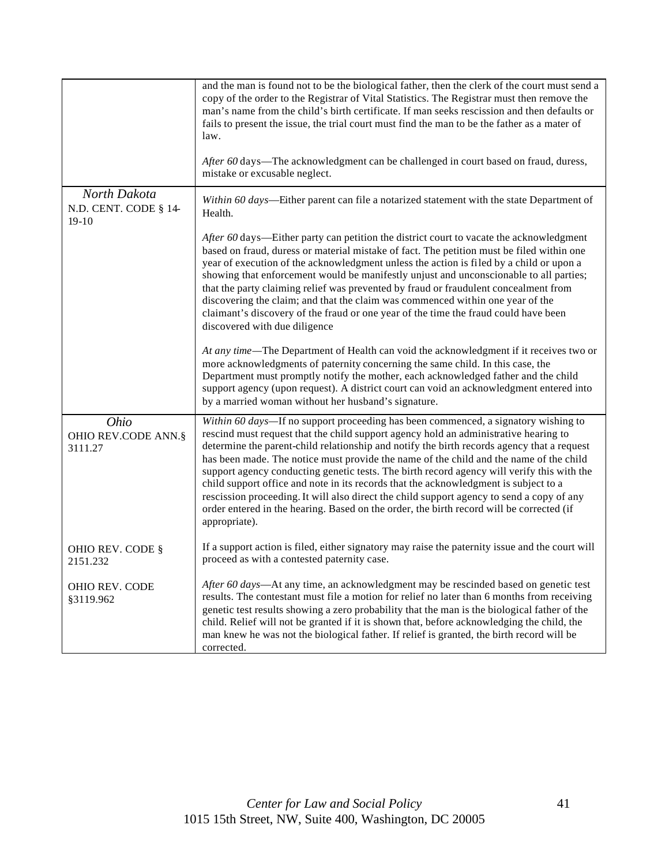|                                                  | and the man is found not to be the biological father, then the clerk of the court must send a<br>copy of the order to the Registrar of Vital Statistics. The Registrar must then remove the<br>man's name from the child's birth certificate. If man seeks rescission and then defaults or<br>fails to present the issue, the trial court must find the man to be the father as a mater of<br>law.<br>After 60 days—The acknowledgment can be challenged in court based on fraud, duress,                                                                                                                                                                                                                                                                          |
|--------------------------------------------------|--------------------------------------------------------------------------------------------------------------------------------------------------------------------------------------------------------------------------------------------------------------------------------------------------------------------------------------------------------------------------------------------------------------------------------------------------------------------------------------------------------------------------------------------------------------------------------------------------------------------------------------------------------------------------------------------------------------------------------------------------------------------|
|                                                  | mistake or excusable neglect.                                                                                                                                                                                                                                                                                                                                                                                                                                                                                                                                                                                                                                                                                                                                      |
| North Dakota<br>N.D. CENT. CODE § 14-<br>$19-10$ | Within 60 days—Either parent can file a notarized statement with the state Department of<br>Health.                                                                                                                                                                                                                                                                                                                                                                                                                                                                                                                                                                                                                                                                |
|                                                  | After 60 days—Either party can petition the district court to vacate the acknowledgment<br>based on fraud, duress or material mistake of fact. The petition must be filed within one<br>year of execution of the acknowledgment unless the action is filed by a child or upon a<br>showing that enforcement would be manifestly unjust and unconscionable to all parties;<br>that the party claiming relief was prevented by fraud or fraudulent concealment from<br>discovering the claim; and that the claim was commenced within one year of the<br>claimant's discovery of the fraud or one year of the time the fraud could have been<br>discovered with due diligence                                                                                        |
|                                                  | At any time-The Department of Health can void the acknowledgment if it receives two or<br>more acknowledgments of paternity concerning the same child. In this case, the<br>Department must promptly notify the mother, each acknowledged father and the child<br>support agency (upon request). A district court can void an acknowledgment entered into<br>by a married woman without her husband's signature.                                                                                                                                                                                                                                                                                                                                                   |
| Ohio<br><b>OHIO REV.CODE ANN. §</b><br>3111.27   | Within 60 days—If no support proceeding has been commenced, a signatory wishing to<br>rescind must request that the child support agency hold an administrative hearing to<br>determine the parent-child relationship and notify the birth records agency that a request<br>has been made. The notice must provide the name of the child and the name of the child<br>support agency conducting genetic tests. The birth record agency will verify this with the<br>child support office and note in its records that the acknowledgment is subject to a<br>rescission proceeding. It will also direct the child support agency to send a copy of any<br>order entered in the hearing. Based on the order, the birth record will be corrected (if<br>appropriate). |
| OHIO REV. CODE §<br>2151.232                     | If a support action is filed, either signatory may raise the paternity issue and the court will<br>proceed as with a contested paternity case.                                                                                                                                                                                                                                                                                                                                                                                                                                                                                                                                                                                                                     |
| OHIO REV. CODE<br>\$3119.962                     | After 60 days—At any time, an acknowledgment may be rescinded based on genetic test<br>results. The contestant must file a motion for relief no later than 6 months from receiving<br>genetic test results showing a zero probability that the man is the biological father of the<br>child. Relief will not be granted if it is shown that, before acknowledging the child, the<br>man knew he was not the biological father. If relief is granted, the birth record will be<br>corrected.                                                                                                                                                                                                                                                                        |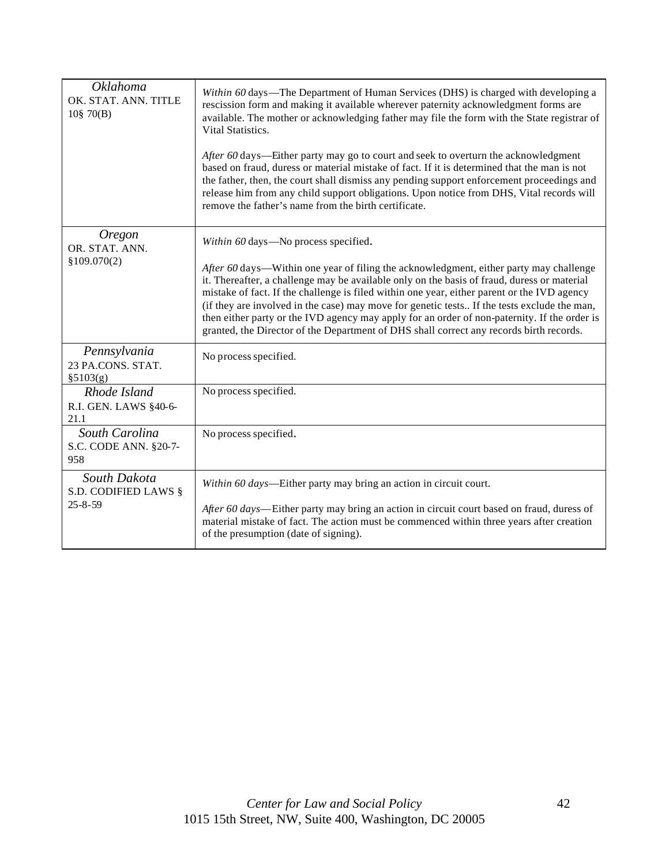| <b>Oklahoma</b><br>OK. STAT. ANN. TITLE<br>$10\$ 70(B) | Within 60 days—The Department of Human Services (DHS) is charged with developing a<br>rescission form and making it available wherever paternity acknowledgment forms are<br>available. The mother or acknowledging father may file the form with the State registrar of<br>Vital Statistics.                                                                                                                                                                                                                                                                                   |
|--------------------------------------------------------|---------------------------------------------------------------------------------------------------------------------------------------------------------------------------------------------------------------------------------------------------------------------------------------------------------------------------------------------------------------------------------------------------------------------------------------------------------------------------------------------------------------------------------------------------------------------------------|
|                                                        | After 60 days—Either party may go to court and seek to overturn the acknowledgment<br>based on fraud, duress or material mistake of fact. If it is determined that the man is not<br>the father, then, the court shall dismiss any pending support enforcement proceedings and<br>release him from any child support obligations. Upon notice from DHS, Vital records will<br>remove the father's name from the birth certificate.                                                                                                                                              |
| <i>Oregon</i><br>OR. STAT. ANN.                        | Within 60 days—No process specified.                                                                                                                                                                                                                                                                                                                                                                                                                                                                                                                                            |
| \$109.070(2)                                           | After 60 days—Within one year of filing the acknowledgment, either party may challenge<br>it. Thereafter, a challenge may be available only on the basis of fraud, duress or material<br>mistake of fact. If the challenge is filed within one year, either parent or the IVD agency<br>(if they are involved in the case) may move for genetic tests. If the tests exclude the man,<br>then either party or the IVD agency may apply for an order of non-paternity. If the order is<br>granted, the Director of the Department of DHS shall correct any records birth records. |
| Pennsylvania<br>23 PA.CONS. STAT.<br>§5103(g)          | No process specified.                                                                                                                                                                                                                                                                                                                                                                                                                                                                                                                                                           |
| Rhode Island<br>R.I. GEN. LAWS §40-6-<br>21.1          | No process specified.                                                                                                                                                                                                                                                                                                                                                                                                                                                                                                                                                           |
| South Carolina<br>S.C. CODE ANN. §20-7-<br>958         | No process specified.                                                                                                                                                                                                                                                                                                                                                                                                                                                                                                                                                           |
| South Dakota<br>S.D. CODIFIED LAWS §                   | Within 60 days—Either party may bring an action in circuit court.                                                                                                                                                                                                                                                                                                                                                                                                                                                                                                               |
| $25 - 8 - 59$                                          | After 60 days—Either party may bring an action in circuit court based on fraud, duress of<br>material mistake of fact. The action must be commenced within three years after creation<br>of the presumption (date of signing).                                                                                                                                                                                                                                                                                                                                                  |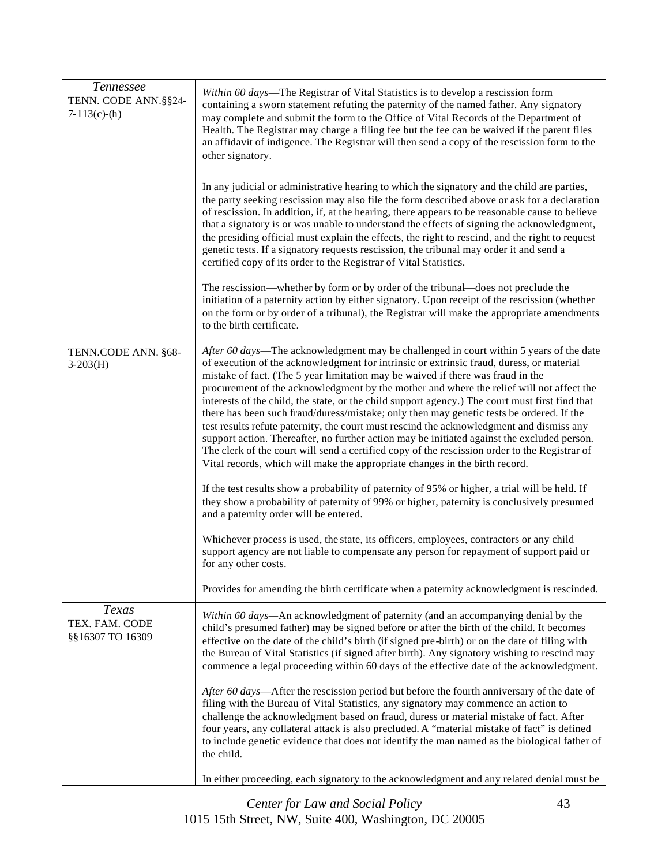| Tennessee<br>TENN. CODE ANN. § § 24-<br>$7-113(c)$ -(h) | Within 60 days—The Registrar of Vital Statistics is to develop a rescission form<br>containing a sworn statement refuting the paternity of the named father. Any signatory<br>may complete and submit the form to the Office of Vital Records of the Department of<br>Health. The Registrar may charge a filing fee but the fee can be waived if the parent files<br>an affidavit of indigence. The Registrar will then send a copy of the rescission form to the<br>other signatory.                                                                                                                                                                                                                                                                                                                                                                                                                                                       |
|---------------------------------------------------------|---------------------------------------------------------------------------------------------------------------------------------------------------------------------------------------------------------------------------------------------------------------------------------------------------------------------------------------------------------------------------------------------------------------------------------------------------------------------------------------------------------------------------------------------------------------------------------------------------------------------------------------------------------------------------------------------------------------------------------------------------------------------------------------------------------------------------------------------------------------------------------------------------------------------------------------------|
|                                                         | In any judicial or administrative hearing to which the signatory and the child are parties,<br>the party seeking rescission may also file the form described above or ask for a declaration<br>of rescission. In addition, if, at the hearing, there appears to be reasonable cause to believe<br>that a signatory is or was unable to understand the effects of signing the acknowledgment,<br>the presiding official must explain the effects, the right to rescind, and the right to request<br>genetic tests. If a signatory requests rescission, the tribunal may order it and send a<br>certified copy of its order to the Registrar of Vital Statistics.                                                                                                                                                                                                                                                                             |
|                                                         | The rescission—whether by form or by order of the tribunal—does not preclude the<br>initiation of a paternity action by either signatory. Upon receipt of the rescission (whether<br>on the form or by order of a tribunal), the Registrar will make the appropriate amendments<br>to the birth certificate.                                                                                                                                                                                                                                                                                                                                                                                                                                                                                                                                                                                                                                |
| TENN.CODE ANN. §68-<br>$3-203(H)$                       | After 60 days—The acknowledgment may be challenged in court within 5 years of the date<br>of execution of the acknowledgment for intrinsic or extrinsic fraud, duress, or material<br>mistake of fact. (The 5 year limitation may be waived if there was fraud in the<br>procurement of the acknowledgment by the mother and where the relief will not affect the<br>interests of the child, the state, or the child support agency.) The court must first find that<br>there has been such fraud/duress/mistake; only then may genetic tests be ordered. If the<br>test results refute paternity, the court must rescind the acknowledgment and dismiss any<br>support action. Thereafter, no further action may be initiated against the excluded person.<br>The clerk of the court will send a certified copy of the rescission order to the Registrar of<br>Vital records, which will make the appropriate changes in the birth record. |
|                                                         | If the test results show a probability of paternity of 95% or higher, a trial will be held. If<br>they show a probability of paternity of 99% or higher, paternity is conclusively presumed<br>and a paternity order will be entered.                                                                                                                                                                                                                                                                                                                                                                                                                                                                                                                                                                                                                                                                                                       |
|                                                         | Whichever process is used, the state, its officers, employees, contractors or any child<br>support agency are not liable to compensate any person for repayment of support paid or<br>for any other costs.                                                                                                                                                                                                                                                                                                                                                                                                                                                                                                                                                                                                                                                                                                                                  |
|                                                         | Provides for amending the birth certificate when a paternity acknowledgment is rescinded.                                                                                                                                                                                                                                                                                                                                                                                                                                                                                                                                                                                                                                                                                                                                                                                                                                                   |
| Texas<br>TEX. FAM. CODE<br>§§16307 TO 16309             | Within 60 days—An acknowledgment of paternity (and an accompanying denial by the<br>child's presumed father) may be signed before or after the birth of the child. It becomes<br>effective on the date of the child's birth (if signed pre-birth) or on the date of filing with<br>the Bureau of Vital Statistics (if signed after birth). Any signatory wishing to rescind may<br>commence a legal proceeding within 60 days of the effective date of the acknowledgment.                                                                                                                                                                                                                                                                                                                                                                                                                                                                  |
|                                                         | After 60 days—After the rescission period but before the fourth anniversary of the date of<br>filing with the Bureau of Vital Statistics, any signatory may commence an action to<br>challenge the acknowledgment based on fraud, duress or material mistake of fact. After<br>four years, any collateral attack is also precluded. A "material mistake of fact" is defined<br>to include genetic evidence that does not identify the man named as the biological father of<br>the child.                                                                                                                                                                                                                                                                                                                                                                                                                                                   |
|                                                         | In either proceeding, each signatory to the acknowledgment and any related denial must be                                                                                                                                                                                                                                                                                                                                                                                                                                                                                                                                                                                                                                                                                                                                                                                                                                                   |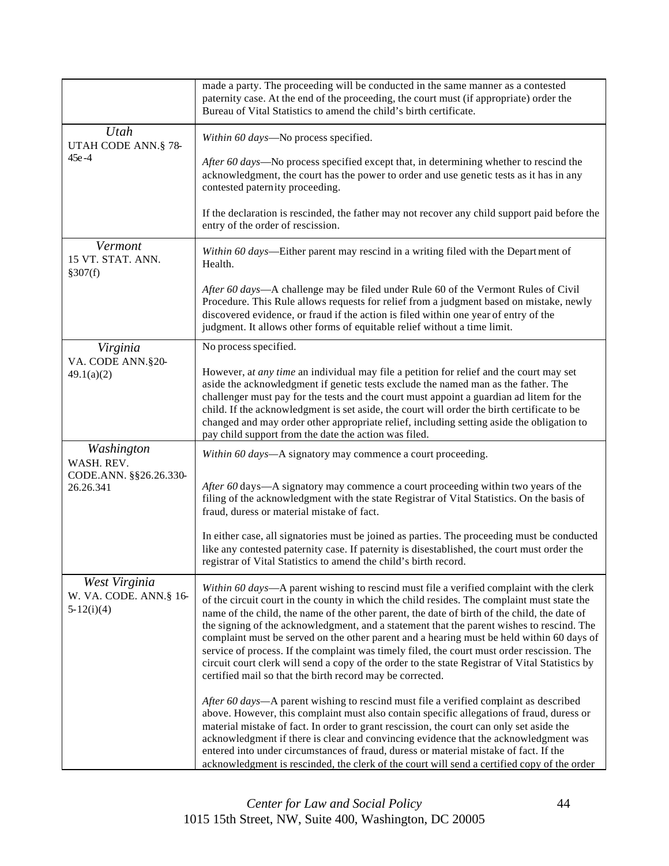|                                                          | made a party. The proceeding will be conducted in the same manner as a contested<br>paternity case. At the end of the proceeding, the court must (if appropriate) order the<br>Bureau of Vital Statistics to amend the child's birth certificate.                                                                                                                                                                                                                                                                                                                                                                                                                                                                                                |
|----------------------------------------------------------|--------------------------------------------------------------------------------------------------------------------------------------------------------------------------------------------------------------------------------------------------------------------------------------------------------------------------------------------------------------------------------------------------------------------------------------------------------------------------------------------------------------------------------------------------------------------------------------------------------------------------------------------------------------------------------------------------------------------------------------------------|
| Utah<br>UTAH CODE ANN.§ 78-                              | Within 60 days—No process specified.                                                                                                                                                                                                                                                                                                                                                                                                                                                                                                                                                                                                                                                                                                             |
| $45e-4$                                                  | After 60 days—No process specified except that, in determining whether to rescind the<br>acknowledgment, the court has the power to order and use genetic tests as it has in any<br>contested paternity proceeding.                                                                                                                                                                                                                                                                                                                                                                                                                                                                                                                              |
|                                                          | If the declaration is rescinded, the father may not recover any child support paid before the<br>entry of the order of rescission.                                                                                                                                                                                                                                                                                                                                                                                                                                                                                                                                                                                                               |
| Vermont<br>15 VT. STAT. ANN.<br>\$307(f)                 | Within 60 days—Either parent may rescind in a writing filed with the Depart ment of<br>Health.                                                                                                                                                                                                                                                                                                                                                                                                                                                                                                                                                                                                                                                   |
|                                                          | After 60 days—A challenge may be filed under Rule 60 of the Vermont Rules of Civil<br>Procedure. This Rule allows requests for relief from a judgment based on mistake, newly<br>discovered evidence, or fraud if the action is filed within one year of entry of the<br>judgment. It allows other forms of equitable relief without a time limit.                                                                                                                                                                                                                                                                                                                                                                                               |
| Virginia                                                 | No process specified.                                                                                                                                                                                                                                                                                                                                                                                                                                                                                                                                                                                                                                                                                                                            |
| VA. CODE ANN. § 20-<br>49.1(a)(2)                        | However, at any time an individual may file a petition for relief and the court may set<br>aside the acknowledgment if genetic tests exclude the named man as the father. The<br>challenger must pay for the tests and the court must appoint a guardian ad litem for the<br>child. If the acknowledgment is set aside, the court will order the birth certificate to be<br>changed and may order other appropriate relief, including setting aside the obligation to<br>pay child support from the date the action was filed.                                                                                                                                                                                                                   |
| Washington<br>WASH. REV.                                 | Within 60 days—A signatory may commence a court proceeding.                                                                                                                                                                                                                                                                                                                                                                                                                                                                                                                                                                                                                                                                                      |
| CODE.ANN. §§26.26.330-<br>26.26.341                      | After 60 days—A signatory may commence a court proceeding within two years of the<br>filing of the acknowledgment with the state Registrar of Vital Statistics. On the basis of<br>fraud, duress or material mistake of fact.                                                                                                                                                                                                                                                                                                                                                                                                                                                                                                                    |
|                                                          | In either case, all signatories must be joined as parties. The proceeding must be conducted<br>like any contested paternity case. If paternity is disestablished, the court must order the<br>registrar of Vital Statistics to amend the child's birth record.                                                                                                                                                                                                                                                                                                                                                                                                                                                                                   |
| West Virginia<br>W. VA. CODE. ANN. § 16-<br>$5-12(i)(4)$ | Within 60 days—A parent wishing to rescind must file a verified complaint with the clerk<br>of the circuit court in the county in which the child resides. The complaint must state the<br>name of the child, the name of the other parent, the date of birth of the child, the date of<br>the signing of the acknowledgment, and a statement that the parent wishes to rescind. The<br>complaint must be served on the other parent and a hearing must be held within 60 days of<br>service of process. If the complaint was timely filed, the court must order rescission. The<br>circuit court clerk will send a copy of the order to the state Registrar of Vital Statistics by<br>certified mail so that the birth record may be corrected. |
|                                                          | After 60 days—A parent wishing to rescind must file a verified complaint as described<br>above. However, this complaint must also contain specific allegations of fraud, duress or<br>material mistake of fact. In order to grant rescission, the court can only set aside the<br>acknowledgment if there is clear and convincing evidence that the acknowledgment was<br>entered into under circumstances of fraud, duress or material mistake of fact. If the<br>acknowledgment is rescinded, the clerk of the court will send a certified copy of the order                                                                                                                                                                                   |